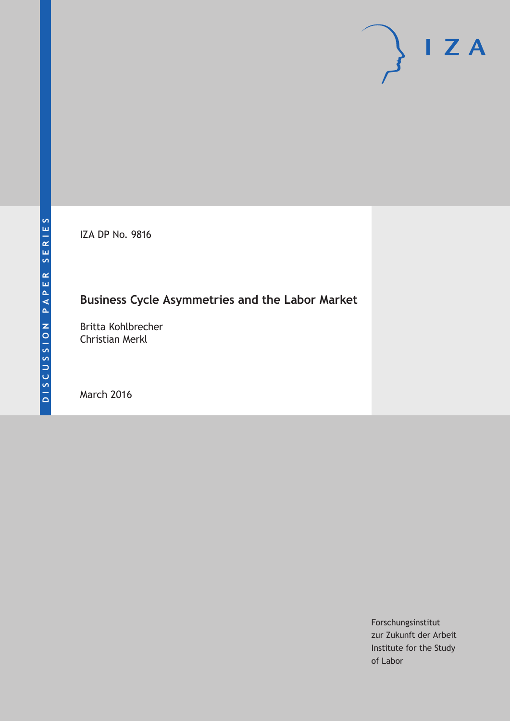IZA DP No. 9816

## **Business Cycle Asymmetries and the Labor Market**

Britta Kohlbrecher Christian Merkl

March 2016

Forschungsinstitut zur Zukunft der Arbeit Institute for the Study of Labor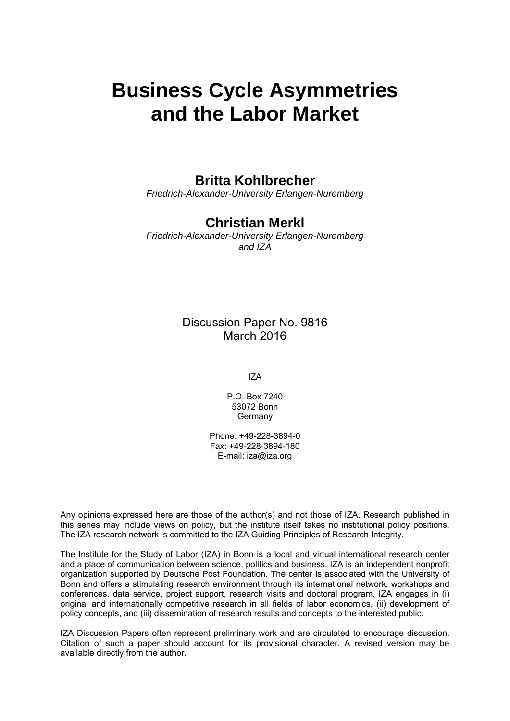# **Business Cycle Asymmetries and the Labor Market**

## **Britta Kohlbrecher**

*Friedrich-Alexander-University Erlangen-Nuremberg* 

## **Christian Merkl**

*Friedrich-Alexander-University Erlangen-Nuremberg and IZA* 

> Discussion Paper No. 9816 March 2016

> > IZA

P.O. Box 7240 53072 Bonn **Germany** 

Phone: +49-228-3894-0 Fax: +49-228-3894-180 E-mail: iza@iza.org

Any opinions expressed here are those of the author(s) and not those of IZA. Research published in this series may include views on policy, but the institute itself takes no institutional policy positions. The IZA research network is committed to the IZA Guiding Principles of Research Integrity.

The Institute for the Study of Labor (IZA) in Bonn is a local and virtual international research center and a place of communication between science, politics and business. IZA is an independent nonprofit organization supported by Deutsche Post Foundation. The center is associated with the University of Bonn and offers a stimulating research environment through its international network, workshops and conferences, data service, project support, research visits and doctoral program. IZA engages in (i) original and internationally competitive research in all fields of labor economics, (ii) development of policy concepts, and (iii) dissemination of research results and concepts to the interested public.

IZA Discussion Papers often represent preliminary work and are circulated to encourage discussion. Citation of such a paper should account for its provisional character. A revised version may be available directly from the author.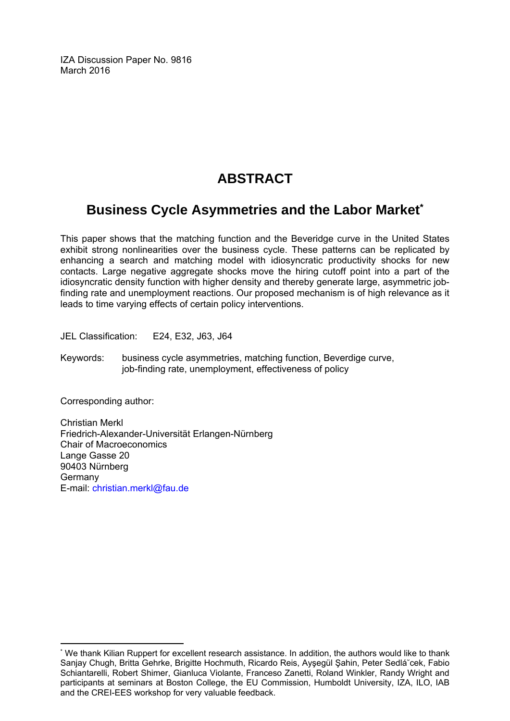IZA Discussion Paper No. 9816 March 2016

## **ABSTRACT**

## **Business Cycle Asymmetries and the Labor Market\***

This paper shows that the matching function and the Beveridge curve in the United States exhibit strong nonlinearities over the business cycle. These patterns can be replicated by enhancing a search and matching model with idiosyncratic productivity shocks for new contacts. Large negative aggregate shocks move the hiring cutoff point into a part of the idiosyncratic density function with higher density and thereby generate large, asymmetric jobfinding rate and unemployment reactions. Our proposed mechanism is of high relevance as it leads to time varying effects of certain policy interventions.

JEL Classification: E24, E32, J63, J64

Keywords: business cycle asymmetries, matching function, Beverdige curve, job-finding rate, unemployment, effectiveness of policy

Corresponding author:

Christian Merkl Friedrich-Alexander-Universität Erlangen-Nürnberg Chair of Macroeconomics Lange Gasse 20 90403 Nürnberg Germany E-mail: christian.merkl@fau.de

 $\overline{a}$ \* We thank Kilian Ruppert for excellent research assistance. In addition, the authors would like to thank Sanjay Chugh, Britta Gehrke, Brigitte Hochmuth, Ricardo Reis, Ayşegül Şahin, Peter Sedlá˘cek, Fabio Schiantarelli, Robert Shimer, Gianluca Violante, Franceso Zanetti, Roland Winkler, Randy Wright and participants at seminars at Boston College, the EU Commission, Humboldt University, IZA, ILO, IAB and the CREI-EES workshop for very valuable feedback.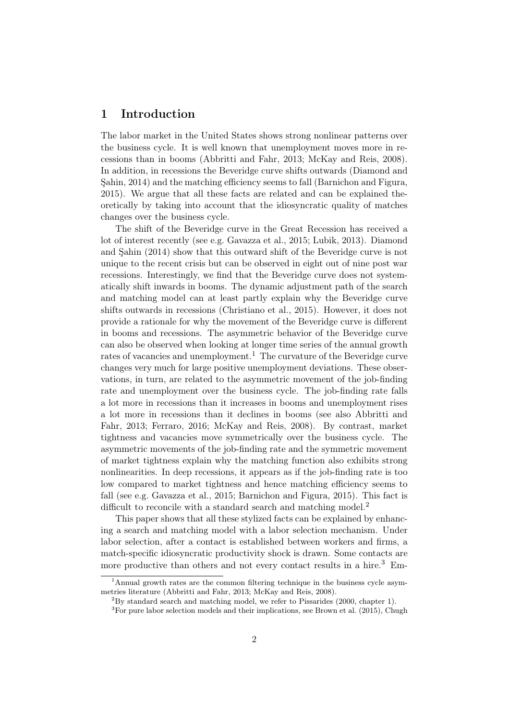## 1 Introduction

The labor market in the United States shows strong nonlinear patterns over the business cycle. It is well known that unemployment moves more in recessions than in booms [\(Abbritti and Fahr](#page-29-0), [2013;](#page-29-0) [McKay and Reis](#page-30-0), [2008](#page-30-0)). In ad[dition, in recessions the Beveridge curve shifts outwards \(](#page-29-1)Diamond and Şahin, [2014\)](#page-29-1) and the matching efficiency seems to fall [\(Barnichon and Figura](#page-29-2), [2015\)](#page-29-2). We argue that all these facts are related and can be explained theoretically by taking into account that the idiosyncratic quality of matches changes over the business cycle.

The shift of the Beveridge curve in the Great Recession has received a lot of inte[rest recently \(see e.g.](#page-29-1) [Gavazza et al.](#page-29-3)[,](#page-29-1) [2015;](#page-29-3) [Lubik](#page-30-1)[,](#page-29-1) [2013](#page-30-1)[\).](#page-29-1) Diamond and Şahin [\(2014\)](#page-29-1) show that this outward shift of the Beveridge curve is not unique to the recent crisis but can be observed in eight out of nine post war recessions. Interestingly, we find that the Beveridge curve does not systematically shift inwards in booms. The dynamic adjustment path of the search and matching model can at least partly explain why the Beveridge curve shifts outwards in recessions [\(Christiano et al.](#page-29-4), [2015\)](#page-29-4). However, it does not provide a rationale for why the movement of the Beveridge curve is different in booms and recessions. The asymmetric behavior of the Beveridge curve can also be observed when looking at longer time series of the annual growth rates of vacancies and unemployment.<sup>[1](#page-3-0)</sup> The curvature of the Beveridge curve changes very much for large positive unemployment deviations. These observations, in turn, are related to the asymmetric movement of the job-finding rate and unemployment over the business cycle. The job-finding rate falls a lot more in recessions than it increases in booms and unemployment rises a lo[t more in recessions than it declines in booms \(see also](#page-29-0) Abbritti and Fahr, [2013](#page-29-0); [Ferraro](#page-29-5), [2016;](#page-29-5) [McKay and Reis, 2008\)](#page-30-0). By contrast, market tightness and vacancies move symmetrically over the business cycle. The asymmetric movements of the job-finding rate and the symmetric movement of market tightness explain why the matching function also exhibits strong nonlinearities. In deep recessions, it appears as if the job-finding rate is too low compared to market tightness and hence matching efficiency seems to fall (see e.g. [Gavazza et al.](#page-29-3), [2015](#page-29-3); [Barnichon and Figura, 2015](#page-29-2)). This fact is difficult to reconcile with a standard search and matching model.<sup>[2](#page-3-1)</sup>

This paper shows that all these stylized facts can be explained by enhancing a search and matching model with a labor selection mechanism. Under labor selection, after a contact is established between workers and firms, a match-specific idiosyncratic productivity shock is drawn. Some contacts are more productive than others and not every contact results in a hire.<sup>[3](#page-3-2)</sup> Em-

<sup>&</sup>lt;sup>1</sup>Annual growth rates are the common filtering technique in the business cycle asymmetries literature [\(Abbritti and Fahr, 2013;](#page-29-0) [McKay and Reis](#page-30-0), [2008\)](#page-30-0).

<span id="page-3-0"></span> ${}^{2}$ By standard search and matching model, we refer to [Pissarides](#page-31-0) [\(2000](#page-31-0), chapter 1).

<span id="page-3-2"></span><span id="page-3-1"></span> ${}^{3}$  For pure labor selection models and their implications, see [Brown et al. \(2015](#page-29-6)), Chugh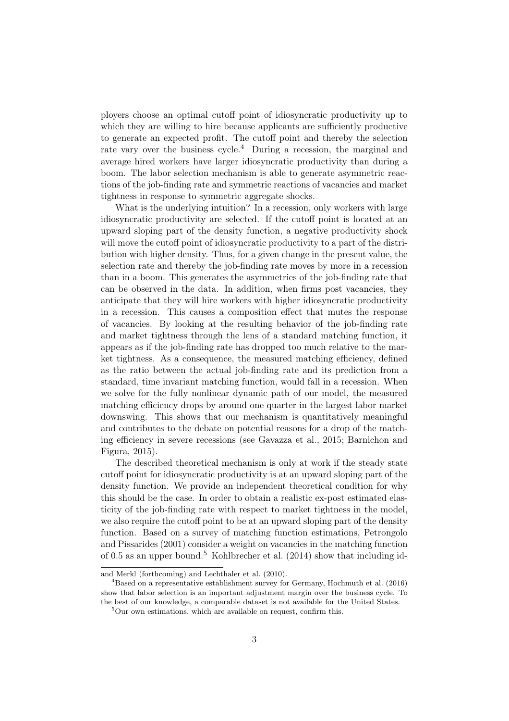ployers choose an optimal cutoff point of idiosyncratic productivity up to which they are willing to hire because applicants are sufficiently productive to generate an expected profit. The cutoff point and thereby the selection rate vary over the business cycle.<sup>[4](#page-4-0)</sup> During a recession, the marginal and average hired workers have larger idiosyncratic productivity than during a boom. The labor selection mechanism is able to generate asymmetric reactions of the job-finding rate and symmetric reactions of vacancies and market tightness in response to symmetric aggregate shocks.

What is the underlying intuition? In a recession, only workers with large idiosyncratic productivity are selected. If the cutoff point is located at an upward sloping part of the density function, a negative productivity shock will move the cutoff point of idiosyncratic productivity to a part of the distribution with higher density. Thus, for a given change in the present value, the selection rate and thereby the job-finding rate moves by more in a recession than in a boom. This generates the asymmetries of the job-finding rate that can be observed in the data. In addition, when firms post vacancies, they anticipate that they will hire workers with higher idiosyncratic productivity in a recession. This causes a composition effect that mutes the response of vacancies. By looking at the resulting behavior of the job-finding rate and market tightness through the lens of a standard matching function, it appears as if the job-finding rate has dropped too much relative to the market tightness. As a consequence, the measured matching efficiency, defined as the ratio between the actual job-finding rate and its prediction from a standard, time invariant matching function, would fall in a recession. When we solve for the fully nonlinear dynamic path of our model, the measured matching efficiency drops by around one quarter in the largest labor market downswing. This shows that our mechanism is quantitatively meaningful and contributes to the debate on potential reasons for a drop of the matching e[fficiency in severe recessions \(see](#page-29-2) [Gavazza et al.](#page-29-3)[,](#page-29-2) [2015](#page-29-3)[;](#page-29-2) Barnichon and Figura, [2015](#page-29-2)).

The described theoretical mechanism is only at work if the steady state cutoff point for idiosyncratic productivity is at an upward sloping part of the density function. We provide an independent theoretical condition for why this should be the case. In order to obtain a realistic ex-post estimated elasticity of the job-finding rate with respect to market tightness in the model, we also require the cutoff point to be at an upward sloping part of the density function. Bas[ed on a survey of matching function estimations,](#page-31-1) Petrongolo and Pissarides [\(2001\)](#page-31-1) consider a weight on vacancies in the matching function of 0.5 as an upper bound.[5](#page-4-1) [Kohlbrecher et al.](#page-30-2)[\(2014](#page-30-2)) show that including id-

and Merkl [\(forthcoming](#page-29-7)) and [Lechthaler et al. \(2010\)](#page-30-3).

<span id="page-4-0"></span><sup>4</sup>Based on a representative establishment survey for Germany, [Hochmuth et al. \(2016\)](#page-30-4) show that labor selection is an important adjustment margin over the business cycle. To the best of our knowledge, a comparable dataset is not available for the United States.

<span id="page-4-1"></span><sup>&</sup>lt;sup>5</sup>Our own estimations, which are available on request, confirm this.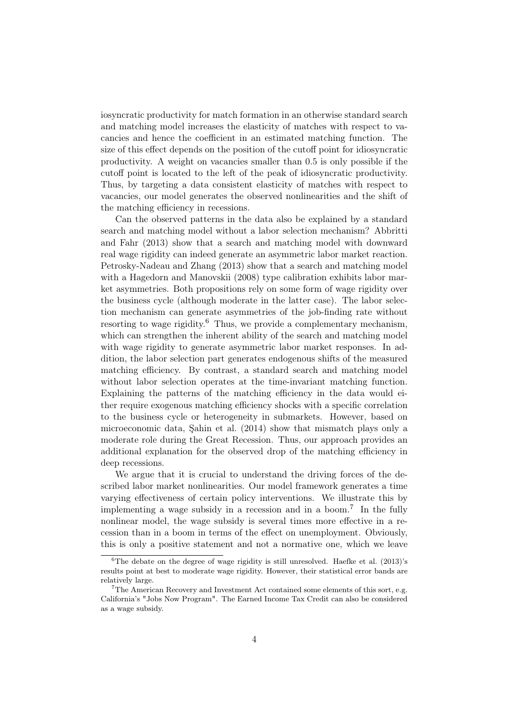iosyncratic productivity for match formation in an otherwise standard search and matching model increases the elasticity of matches with respect to vacancies and hence the coefficient in an estimated matching function. The size of this effect depends on the position of the cutoff point for idiosyncratic productivity. A weight on vacancies smaller than 0.5 is only possible if the cutoff point is located to the left of the peak of idiosyncratic productivity. Thus, by targeting a data consistent elasticity of matches with respect to vacancies, our model generates the observed nonlinearities and the shift of the matching efficiency in recessions.

Can the observed patterns in the data also be explained by a standard search a[nd matching model without a labor selection mechanism?](#page-29-0) Abbritti and Fahr [\(2013\)](#page-29-0) show that a search and matching model with downward real wage rigidity can indeed generate an asymmetric labor market reaction. [Petrosky-Nadeau and Zhang \(2013\)](#page-31-2) show that a search and matching model with a [Hagedorn and Manovskii](#page-30-5) [\(2008](#page-30-5)) type calibration exhibits labor market asymmetries. Both propositions rely on some form of wage rigidity over the business cycle (although moderate in the latter case). The labor selection mechanism can generate asymmetries of the job-finding rate without resorting to wage rigidity.<sup>[6](#page-5-0)</sup> Thus, we provide a complementary mechanism, which can strengthen the inherent ability of the search and matching model with wage rigidity to generate asymmetric labor market responses. In addition, the labor selection part generates endogenous shifts of the measured matching efficiency. By contrast, a standard search and matching model without labor selection operates at the time-invariant matching function. Explaining the patterns of the matching efficiency in the data would either require exogenous matching efficiency shocks with a specific correlation to the business cycle or heterogeneity in submarkets. However, based on microeconomic data, [Şahin et al.](#page-31-3) [\(2014](#page-31-3)) show that mismatch plays only a moderate role during the Great Recession. Thus, our approach provides an additional explanation for the observed drop of the matching efficiency in deep recessions.

We argue that it is crucial to understand the driving forces of the described labor market nonlinearities. Our model framework generates a time varying effectiveness of certain policy interventions. We illustrate this by implementing a wage subsidy in a recession and in a boom.<sup>[7](#page-5-1)</sup> In the fully nonlinear model, the wage subsidy is several times more effective in a recession than in a boom in terms of the effect on unemployment. Obviously, this is only a positive statement and not a normative one, which we leave

<span id="page-5-0"></span> ${}^{6}$ The debate on the degree of wage rigidity is still unresolved. [Haefke et al. \(2013\)](#page-30-6)'s results point at best to moderate wage rigidity. However, their statistical error bands are relatively large.

<span id="page-5-1"></span> $7$ The American Recovery and Investment Act contained some elements of this sort, e.g. California's "Jobs Now Program". The Earned Income Tax Credit can also be considered as a wage subsidy.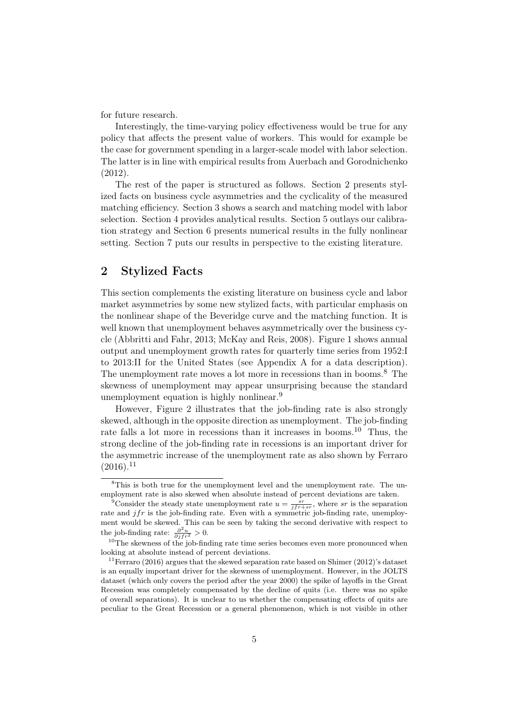for future research.

Interestingly, the time-varying policy effectiveness would be true for any policy that affects the present value of workers. This would for example be the case for government spending in a larger-scale model with labor selection. The latter is in line with empirical results from [Auerbach and Gorodnichenko](#page-29-8) [\(2012\)](#page-29-8).

The rest of the paper is structured as follows. Section [2](#page-6-0) presents stylized facts on business cycle asymmetries and the cyclicality of the measured matching efficiency. Section [3](#page-12-0) shows a search and matching model with labor selection. Section [4](#page-15-0) provides analytical results. Section [5](#page-18-0) outlays our calibration strategy and Section [6](#page-21-0) presents numerical results in the fully nonlinear setting. Section [7](#page-26-0) puts our results in perspective to the existing literature.

## <span id="page-6-0"></span>2 Stylized Facts

This section complements the existing literature on business cycle and labor market asymmetries by some new stylized facts, with particular emphasis on the nonlinear shape of the Beveridge curve and the matching function. It is well known that unemployment behaves asymmetrically over the business cycle [\(Abbritti and Fahr, 2013](#page-29-0); [McKay and Reis, 2008\)](#page-30-0). Figure [1](#page-7-0) shows annual output and unemployment growth rates for quarterly time series from 1952:I to 2013:II for the United States (see Appendix [A](#page-32-0) for a data description). The unemployment rate moves a lot more in recessions than in booms.<sup>[8](#page-6-1)</sup> The skewness of unemployment may appear unsurprising because the standard unemployment equation is highly nonlinear.[9](#page-6-2)

However, Figure [2](#page-7-1) illustrates that the job-finding rate is also strongly skewed, although in the opposite direction as unemployment. The job-finding rate falls a lot more in recessions than it increases in booms.<sup>[10](#page-6-3)</sup> Thus, the strong decline of the job-finding rate in recessions is an important driver for the asymmetric increase of the unemployment rate as also shown by [Ferraro](#page-29-5)  $(2016).^{11}$  $(2016).^{11}$  $(2016).^{11}$  $(2016).^{11}$ 

<span id="page-6-1"></span> ${}^{8}$ This is both true for the unemployment level and the unemployment rate. The unemployment rate is also skewed when absolute instead of percent deviations are taken.

<span id="page-6-2"></span><sup>&</sup>lt;sup>9</sup>Consider the steady state unemployment rate  $u = \frac{s}{jfr+s r}$ , where sr is the separation rate and  $jfr$  is the job-finding rate. Even with a symmetric job-finding rate, unemployment would be skewed. This can be seen by taking the second derivative with respect to the job-finding rate:  $\frac{\partial^2 u}{\partial j f r^2} > 0$ .

<span id="page-6-3"></span><sup>&</sup>lt;sup>10</sup>The skewness of the job-finding rate time series becomes even more pronounced when looking at absolute instead of percent deviations.

<span id="page-6-4"></span> $11$  [Ferraro \(2016\)](#page-29-5) argues that the skewed separation rate based on [Shimer \(2012](#page-31-4))'s dataset is an equally important driver for the skewness of unemployment. However, in the JOLTS dataset (which only covers the period after the year 2000) the spike of layoffs in the Great Recession was completely compensated by the decline of quits (i.e. there was no spike of overall separations). It is unclear to us whether the compensating effects of quits are peculiar to the Great Recession or a general phenomenon, which is not visible in other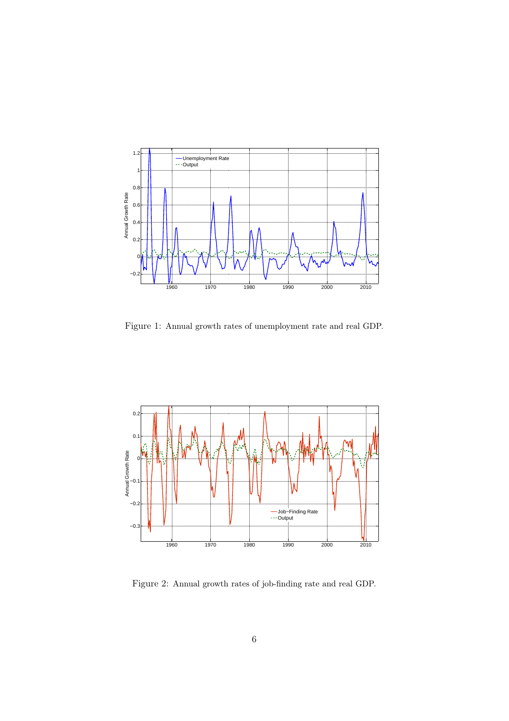<span id="page-7-0"></span>

Figure 1: Annual growth rates of unemployment rate and real GDP.

<span id="page-7-1"></span>

Figure 2: Annual growth rates of job-finding rate and real GDP.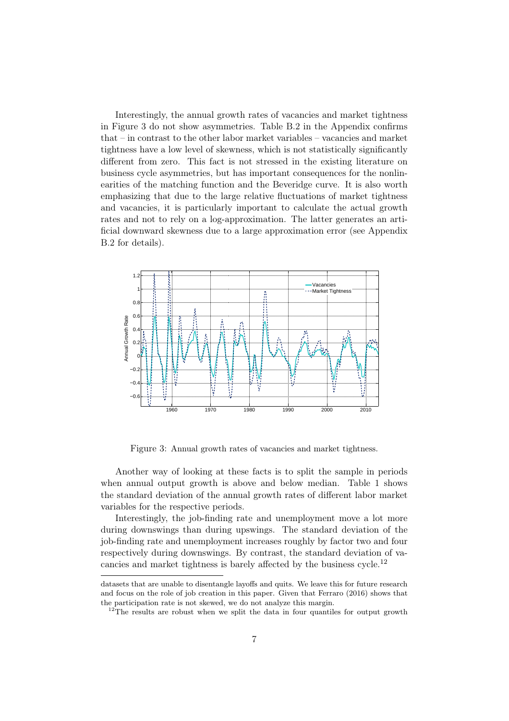Interestingly, the annual growth rates of vacancies and market tightness in Figure [3](#page-8-0) do not show asymmetries. Table [B.2](#page-33-0) in the Appendix confirms that – in contrast to the other labor market variables – vacancies and market tightness have a low level of skewness, which is not statistically significantly different from zero. This fact is not stressed in the existing literature on business cycle asymmetries, but has important consequences for the nonlinearities of the matching function and the Beveridge curve. It is also worth emphasizing that due to the large relative fluctuations of market tightness and vacancies, it is particularly important to calculate the actual growth rates and not to rely on a log-approximation. The latter generates an artificial downward skewness due to a large approximation error (see Appendix [B.2](#page-33-1) for details).

<span id="page-8-0"></span>

Figure 3: Annual growth rates of vacancies and market tightness.

Another way of looking at these facts is to split the sample in periods when annual output growth is above and below median. Table [1](#page-9-0) shows the standard deviation of the annual growth rates of different labor market variables for the respective periods.

Interestingly, the job-finding rate and unemployment move a lot more during downswings than during upswings. The standard deviation of the job-finding rate and unemployment increases roughly by factor two and four respectively during downswings. By contrast, the standard deviation of vacancies and market tightness is barely affected by the business cycle.[12](#page-8-1)

datasets that are unable to disentangle layoffs and quits. We leave this for future research and focus on the role of job creation in this paper. Given that [Ferraro \(2016\)](#page-29-5) shows that the participation rate is not skewed, we do not analyze this margin.

<span id="page-8-1"></span> $12$ The results are robust when we split the data in four quantiles for output growth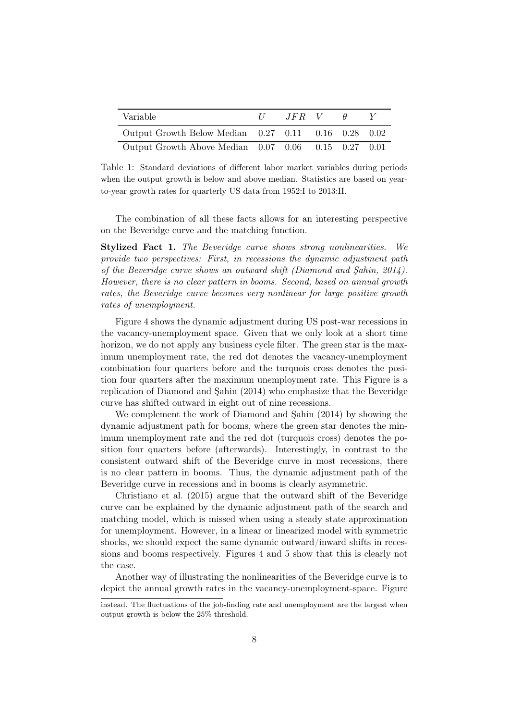<span id="page-9-0"></span>

| Variable                                            | $\frac{1}{2}$ | $JFR$ V | H |  |
|-----------------------------------------------------|---------------|---------|---|--|
| Output Growth Below Median 0.27 0.11 0.16 0.28 0.02 |               |         |   |  |
| Output Growth Above Median 0.07 0.06 0.15 0.27 0.01 |               |         |   |  |

Table 1: Standard deviations of different labor market variables during periods when the output growth is below and above median. Statistics are based on yearto-year growth rates for quarterly US data from 1952:I to 2013:II.

The combination of all these facts allows for an interesting perspective on the Beveridge curve and the matching function.

Stylized Fact 1. The Beveridge curve shows strong nonlinearities. We provide two perspectives: First, in recessions the dynamic adjustment path of the Beveridge curve shows an outward shift [\(Diamond and Şahin](#page-29-1), [2014\)](#page-29-1). However, there is no clear pattern in booms. Second, based on annual growth rates, the Beveridge curve becomes very nonlinear for large positive growth rates of unemployment.

Figure [4](#page-10-0) shows the dynamic adjustment during US post-war recessions in the vacancy-unemployment space. Given that we only look at a short time horizon, we do not apply any business cycle filter. The green star is the maximum unemployment rate, the red dot denotes the vacancy-unemployment combination four quarters before and the turquois cross denotes the position four quarters after the maximum unemployment rate. This Figure is a replication of [Diamond and Şahin \(2014\)](#page-29-1) who emphasize that the Beveridge curve has shifted outward in eight out of nine recessions.

We complement the work of [Diamond and Şahin \(2014\)](#page-29-1) by showing the dynamic adjustment path for booms, where the green star denotes the minimum unemployment rate and the red dot (turquois cross) denotes the position four quarters before (afterwards). Interestingly, in contrast to the consistent outward shift of the Beveridge curve in most recessions, there is no clear pattern in booms. Thus, the dynamic adjustment path of the [Beveridge curve in re](#page-29-4)cessions and in booms is clearly asymmetric.

Christiano et al. [\(2015\)](#page-29-4) argue that the outward shift of the Beveridge curve can be explained by the dynamic adjustment path of the search and matching model, which is missed when using a steady state approximation for unemployment. However, in a linear or linearized model with symmetric shocks, we should expect the same dynamic outward/inward shifts in recessions and booms respectively. Figures [4](#page-10-0) and [5](#page-10-1) show that this is clearly not the case.

Another way of illustrating the nonlinearities of the Beveridge curve is to depict the annual growth rates in the vacancy-unemployment-space. Figure

instead. The fluctuations of the job-finding rate and unemployment are the largest when output growth is below the 25% threshold.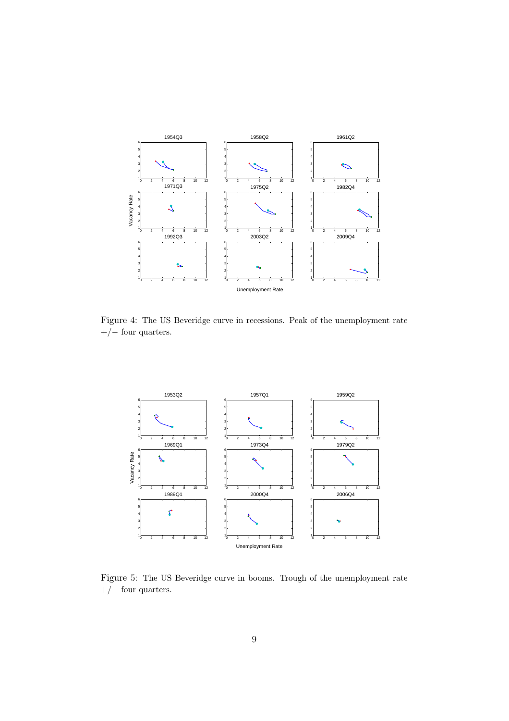<span id="page-10-0"></span>

Figure 4: The US Beveridge curve in recessions. Peak of the unemployment rate  $+/-$  four quarters.

<span id="page-10-1"></span>

Figure 5: The US Beveridge curve in booms. Trough of the unemployment rate  $+/-$  four quarters.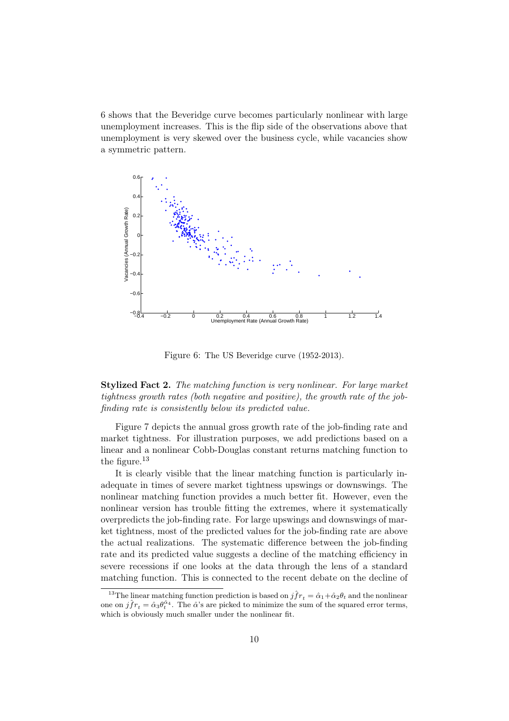[6](#page-11-0) shows that the Beveridge curve becomes particularly nonlinear with large unemployment increases. This is the flip side of the observations above that unemployment is very skewed over the business cycle, while vacancies show a symmetric pattern.

<span id="page-11-0"></span>

Figure 6: The US Beveridge curve (1952-2013).

Stylized Fact 2. The matching function is very nonlinear. For large market tightness growth rates (both negative and positive), the growth rate of the jobfinding rate is consistently below its predicted value.

Figure [7](#page-12-1) depicts the annual gross growth rate of the job-finding rate and market tightness. For illustration purposes, we add predictions based on a linear and a nonlinear Cobb-Douglas constant returns matching function to the figure.[13](#page-11-1)

It is clearly visible that the linear matching function is particularly inadequate in times of severe market tightness upswings or downswings. The nonlinear matching function provides a much better fit. However, even the nonlinear version has trouble fitting the extremes, where it systematically overpredicts the job-finding rate. For large upswings and downswings of market tightness, most of the predicted values for the job-finding rate are above the actual realizations. The systematic difference between the job-finding rate and its predicted value suggests a decline of the matching efficiency in severe recessions if one looks at the data through the lens of a standard matching function. This is connected to the recent debate on the decline of

<span id="page-11-1"></span><sup>&</sup>lt;sup>13</sup>The linear matching function prediction is based on  $j\hat{f}r_t = \hat{\alpha}_1 + \hat{\alpha}_2\theta_t$  and the nonlinear one on  $j\hat{f}r_t = \hat{\alpha}_3\theta_t^{\hat{\alpha}_4}$ . The  $\hat{\alpha}$ 's are picked to minimize the sum of the squared error terms, which is obviously much smaller under the nonlinear fit.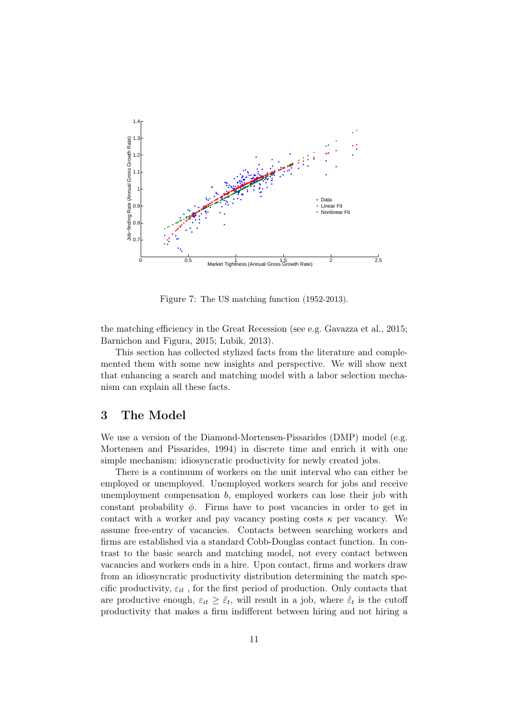<span id="page-12-1"></span>

Figure 7: The US matching function (1952-2013).

the matching efficiency in the Great Recession (see e.g. [Gavazza et al., 2015](#page-29-3); [Barnichon and Figura](#page-29-2), [2015](#page-29-2); [Lubik, 2013\)](#page-30-1).

This section has collected stylized facts from the literature and complemented them with some new insights and perspective. We will show next that enhancing a search and matching model with a labor selection mechanism can explain all these facts.

### <span id="page-12-0"></span>3 The Model

We use a version of the Diamond-Mortensen-Pissarides (DMP) model (e.g. [Mortensen and Pissarides](#page-30-7), [1994\)](#page-30-7) in discrete time and enrich it with one simple mechanism: idiosyncratic productivity for newly created jobs.

There is a continuum of workers on the unit interval who can either be employed or unemployed. Unemployed workers search for jobs and receive unemployment compensation  $b$ , employed workers can lose their job with constant probability  $\phi$ . Firms have to post vacancies in order to get in contact with a worker and pay vacancy posting costs  $\kappa$  per vacancy. We assume free-entry of vacancies. Contacts between searching workers and firms are established via a standard Cobb-Douglas contact function. In contrast to the basic search and matching model, not every contact between vacancies and workers ends in a hire. Upon contact, firms and workers draw from an idiosyncratic productivity distribution determining the match specific productivity,  $\varepsilon_{it}$ , for the first period of production. Only contacts that are productive enough,  $\varepsilon_{it} \geq \tilde{\varepsilon}_t$ , will result in a job, where  $\tilde{\varepsilon}_t$  is the cutoff productivity that makes a firm indifferent between hiring and not hiring a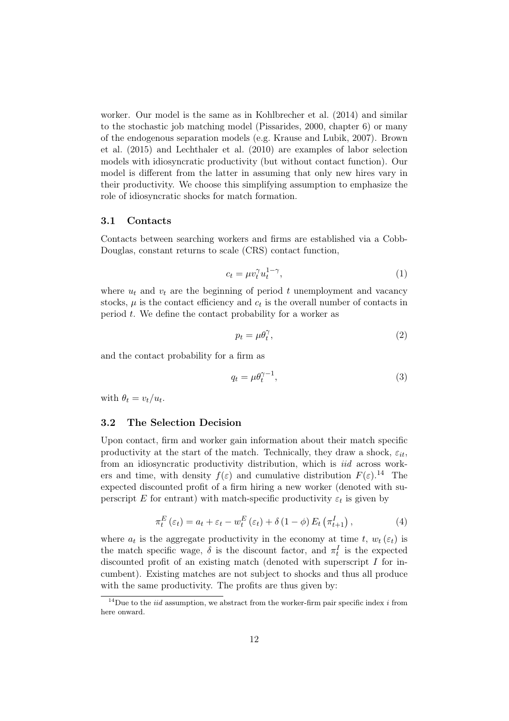worker. Our model is the same as in [Kohlbrecher et al. \(2014\)](#page-30-2) and similar to the stochastic job matching model [\(Pissarides, 2000,](#page-31-0) chapter 6) or many of th[e endogenous separation models \(e.g.](#page-29-6) [Krause and Lubik](#page-30-8)[,](#page-29-6) [2007\)](#page-30-8)[.](#page-29-6) Brown et al. [\(2015](#page-29-6)) and [Lechthaler et al. \(2010](#page-30-3)) are examples of labor selection models with idiosyncratic productivity (but without contact function). Our model is different from the latter in assuming that only new hires vary in their productivity. We choose this simplifying assumption to emphasize the role of idiosyncratic shocks for match formation.

#### 3.1 Contacts

Contacts between searching workers and firms are established via a Cobb-Douglas, constant returns to scale (CRS) contact function,

$$
c_t = \mu v_t^{\gamma} u_t^{1-\gamma},\tag{1}
$$

where  $u_t$  and  $v_t$  are the beginning of period t unemployment and vacancy stocks,  $\mu$  is the contact efficiency and  $c_t$  is the overall number of contacts in period t. We define the contact probability for a worker as

<span id="page-13-1"></span>
$$
p_t = \mu \theta_t^{\gamma},\tag{2}
$$

and the contact probability for a firm as

<span id="page-13-2"></span>
$$
q_t = \mu \theta_t^{\gamma - 1},\tag{3}
$$

with  $\theta_t = v_t/u_t$ .

#### 3.2 The Selection Decision

Upon contact, firm and worker gain information about their match specific productivity at the start of the match. Technically, they draw a shock,  $\varepsilon_{it}$ , from an idiosyncratic productivity distribution, which is iid across workers and time, with density  $f(\varepsilon)$  and cumulative distribution  $F(\varepsilon)$ .<sup>[14](#page-13-0)</sup> The expected discounted profit of a firm hiring a new worker (denoted with superscript E for entrant) with match-specific productivity  $\varepsilon_t$  is given by

$$
\pi_t^E(\varepsilon_t) = a_t + \varepsilon_t - w_t^E(\varepsilon_t) + \delta (1 - \phi) E_t (\pi_{t+1}^I), \qquad (4)
$$

where  $a_t$  is the aggregate productivity in the economy at time t,  $w_t(\varepsilon_t)$  is the match specific wage,  $\delta$  is the discount factor, and  $\pi_t^I$  is the expected discounted profit of an existing match (denoted with superscript I for incumbent). Existing matches are not subject to shocks and thus all produce with the same productivity. The profits are thus given by:

<span id="page-13-0"></span><sup>&</sup>lt;sup>14</sup>Due to the *iid* assumption, we abstract from the worker-firm pair specific index *i* from here onward.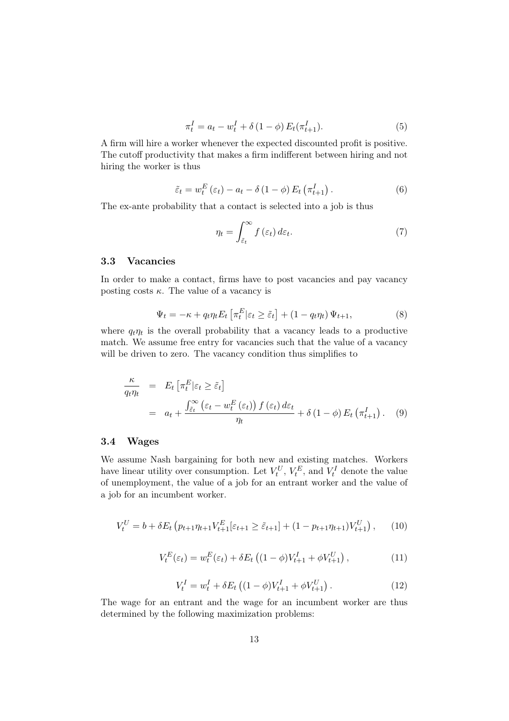<span id="page-14-0"></span>
$$
\pi_t^I = a_t - w_t^I + \delta (1 - \phi) E_t(\pi_{t+1}^I). \tag{5}
$$

A firm will hire a worker whenever the expected discounted profit is positive. The cutoff productivity that makes a firm indifferent between hiring and not hiring the worker is thus

<span id="page-14-1"></span>
$$
\tilde{\varepsilon}_t = w_t^E(\varepsilon_t) - a_t - \delta(1 - \phi) E_t(\pi_{t+1}^I). \tag{6}
$$

The ex-ante probability that a contact is selected into a job is thus

<span id="page-14-2"></span>
$$
\eta_t = \int_{\tilde{\varepsilon}_t}^{\infty} f(\varepsilon_t) d\varepsilon_t.
$$
 (7)

#### 3.3 Vacancies

In order to make a contact, firms have to post vacancies and pay vacancy posting costs  $\kappa$ . The value of a vacancy is

$$
\Psi_t = -\kappa + q_t \eta_t E_t \left[ \pi_t^E | \varepsilon_t \ge \tilde{\varepsilon}_t \right] + (1 - q_t \eta_t) \Psi_{t+1},\tag{8}
$$

where  $q_t\eta_t$  is the overall probability that a vacancy leads to a productive match. We assume free entry for vacancies such that the value of a vacancy will be driven to zero. The vacancy condition thus simplifies to

<span id="page-14-3"></span>
$$
\frac{\kappa}{q_t \eta_t} = E_t \left[ \pi_t^E | \varepsilon_t \ge \tilde{\varepsilon}_t \right]
$$
\n
$$
= a_t + \frac{\int_{\tilde{\varepsilon}_t}^{\infty} \left( \varepsilon_t - w_t^E \left( \varepsilon_t \right) \right) f \left( \varepsilon_t \right) d\varepsilon_t}{\eta_t} + \delta \left( 1 - \phi \right) E_t \left( \pi_{t+1}^I \right). \tag{9}
$$

#### 3.4 Wages

We assume Nash bargaining for both new and existing matches. Workers have linear utility over consumption. Let  $V_t^U$ ,  $V_t^E$ , and  $V_t^I$  denote the value of unemployment, the value of a job for an entrant worker and the value of a job for an incumbent worker.

$$
V_t^U = b + \delta E_t \left( p_{t+1} \eta_{t+1} V_{t+1}^E [\varepsilon_{t+1} \ge \tilde{\varepsilon}_{t+1}] + (1 - p_{t+1} \eta_{t+1}) V_{t+1}^U \right), \tag{10}
$$

$$
V_t^E(\varepsilon_t) = w_t^E(\varepsilon_t) + \delta E_t \left( (1 - \phi) V_{t+1}^I + \phi V_{t+1}^U \right), \tag{11}
$$

$$
V_t^I = w_t^I + \delta E_t \left( (1 - \phi) V_{t+1}^I + \phi V_{t+1}^U \right). \tag{12}
$$

The wage for an entrant and the wage for an incumbent worker are thus determined by the following maximization problems: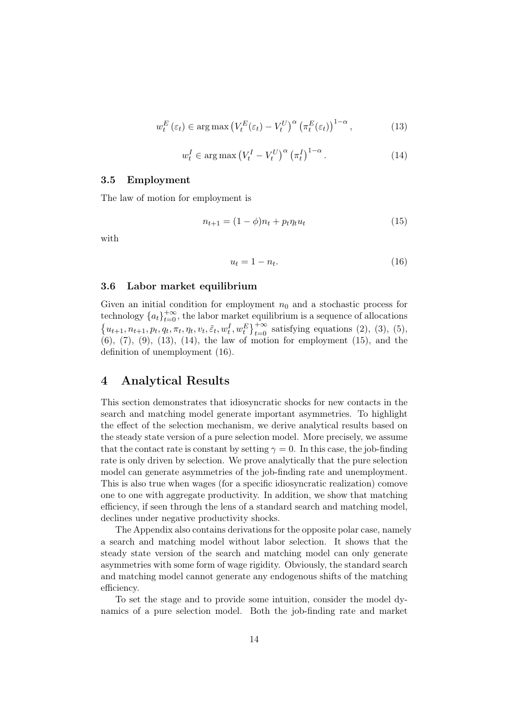<span id="page-15-1"></span>
$$
w_t^E(\varepsilon_t) \in \arg\max \left( V_t^E(\varepsilon_t) - V_t^U \right)^{\alpha} \left( \pi_t^E(\varepsilon_t) \right)^{1-\alpha}, \tag{13}
$$

<span id="page-15-2"></span>
$$
w_t^I \in \arg \max \left( V_t^I - V_t^U \right)^{\alpha} \left( \pi_t^I \right)^{1-\alpha}.
$$
 (14)

#### 3.5 Employment

The law of motion for employment is

<span id="page-15-3"></span>
$$
n_{t+1} = (1 - \phi)n_t + p_t \eta_t u_t \tag{15}
$$

with

<span id="page-15-4"></span>
$$
u_t = 1 - n_t. \tag{16}
$$

#### 3.6 Labor market equilibrium

Given an initial condition for employment  $n_0$  and a stochastic process for technology  $\{a_t\}_{t=0}^{+\infty}$ , the labor market equilibrium is a sequence of allocations  ${u_{t+1, n_{t+1}, p_t, q_t, \pi_t, \eta_t, v_t, \tilde{\varepsilon}_t, w_t^I, w_t^E}^{\dagger \infty}_{t=0}$  satisfying equations [\(2\)](#page-13-1), [\(3\)](#page-13-2), [\(5\)](#page-14-0),  $(6)$ ,  $(7)$ ,  $(9)$ ,  $(13)$ ,  $(14)$ , the law of motion for employment  $(15)$ , and the definition of unemployment [\(16\)](#page-15-4).

## <span id="page-15-0"></span>4 Analytical Results

This section demonstrates that idiosyncratic shocks for new contacts in the search and matching model generate important asymmetries. To highlight the effect of the selection mechanism, we derive analytical results based on the steady state version of a pure selection model. More precisely, we assume that the contact rate is constant by setting  $\gamma = 0$ . In this case, the job-finding rate is only driven by selection. We prove analytically that the pure selection model can generate asymmetries of the job-finding rate and unemployment. This is also true when wages (for a specific idiosyncratic realization) comove one to one with aggregate productivity. In addition, we show that matching efficiency, if seen through the lens of a standard search and matching model, declines under negative productivity shocks.

The Appendix also contains derivations for the opposite polar case, namely a search and matching model without labor selection. It shows that the steady state version of the search and matching model can only generate asymmetries with some form of wage rigidity. Obviously, the standard search and matching model cannot generate any endogenous shifts of the matching efficiency.

To set the stage and to provide some intuition, consider the model dynamics of a pure selection model. Both the job-finding rate and market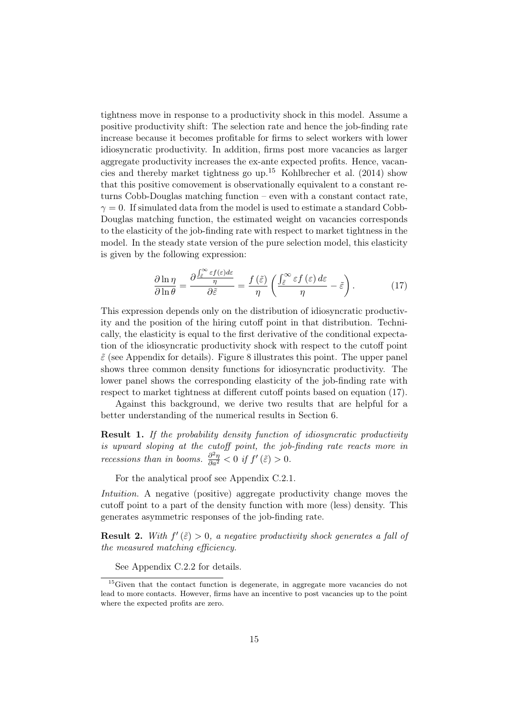tightness move in response to a productivity shock in this model. Assume a positive productivity shift: The selection rate and hence the job-finding rate increase because it becomes profitable for firms to select workers with lower idiosyncratic productivity. In addition, firms post more vacancies as larger aggregate productivity increases the ex-ante expected profits. Hence, vacan-cies and thereby market tightness go up.<sup>[15](#page-16-0)</sup> Kohlbrecher et al.  $(2014)$  show that this positive comovement is observationally equivalent to a constant returns Cobb-Douglas matching function – even with a constant contact rate,  $\gamma = 0$ . If simulated data from the model is used to estimate a standard Cobb-Douglas matching function, the estimated weight on vacancies corresponds to the elasticity of the job-finding rate with respect to market tightness in the model. In the steady state version of the pure selection model, this elasticity is given by the following expression:

<span id="page-16-1"></span>
$$
\frac{\partial \ln \eta}{\partial \ln \theta} = \frac{\partial \frac{\int_{\tilde{\varepsilon}}^{\infty} \varepsilon f(\varepsilon) d\varepsilon}{\partial \tilde{\varepsilon}}}{\partial \tilde{\varepsilon}} = \frac{f(\tilde{\varepsilon})}{\eta} \left( \frac{\int_{\tilde{\varepsilon}}^{\infty} \varepsilon f(\varepsilon) d\varepsilon}{\eta} - \tilde{\varepsilon} \right). \tag{17}
$$

This expression depends only on the distribution of idiosyncratic productivity and the position of the hiring cutoff point in that distribution. Technically, the elasticity is equal to the first derivative of the conditional expectation of the idiosyncratic productivity shock with respect to the cutoff point  $\tilde{\varepsilon}$  (see Appendix for details). Figure [8](#page-17-0) illustrates this point. The upper panel shows three common density functions for idiosyncratic productivity. The lower panel shows the corresponding elasticity of the job-finding rate with respect to market tightness at different cutoff points based on equation [\(17\)](#page-16-1).

Against this background, we derive two results that are helpful for a better understanding of the numerical results in Section [6.](#page-21-0)

<span id="page-16-2"></span>Result 1. If the probability density function of idiosyncratic productivity is upward sloping at the cutoff point, the job-finding rate reacts more in *recessions than in booms.*  $\frac{\partial^2 \eta}{\partial a^2} < 0$  *if*  $f'(\tilde{\varepsilon}) > 0$ .

For the analytical proof see Appendix [C.2.1.](#page-37-0)

Intuition. A negative (positive) aggregate productivity change moves the cutoff point to a part of the density function with more (less) density. This generates asymmetric responses of the job-finding rate.

**Result 2.** With  $f'(\tilde{\varepsilon}) > 0$ , a negative productivity shock generates a fall of the measured matching efficiency.

See Appendix [C.2.2](#page-38-0) for details.

<span id="page-16-0"></span><sup>&</sup>lt;sup>15</sup>Given that the contact function is degenerate, in aggregate more vacancies do not lead to more contacts. However, firms have an incentive to post vacancies up to the point where the expected profits are zero.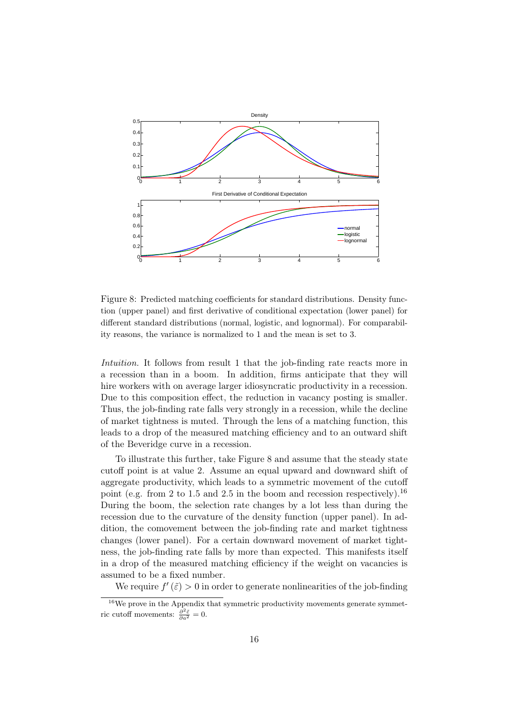<span id="page-17-0"></span>

Figure 8: Predicted matching coefficients for standard distributions. Density function (upper panel) and first derivative of conditional expectation (lower panel) for different standard distributions (normal, logistic, and lognormal). For comparability reasons, the variance is normalized to 1 and the mean is set to 3.

Intuition. It follows from result [1](#page-16-2) that the job-finding rate reacts more in a recession than in a boom. In addition, firms anticipate that they will hire workers with on average larger idiosyncratic productivity in a recession. Due to this composition effect, the reduction in vacancy posting is smaller. Thus, the job-finding rate falls very strongly in a recession, while the decline of market tightness is muted. Through the lens of a matching function, this leads to a drop of the measured matching efficiency and to an outward shift of the Beveridge curve in a recession.

To illustrate this further, take Figure [8](#page-17-0) and assume that the steady state cutoff point is at value 2. Assume an equal upward and downward shift of aggregate productivity, which leads to a symmetric movement of the cutoff point (e.g. from 2 to 1.5 and 2.5 in the boom and recession respectively).<sup>[16](#page-17-1)</sup> During the boom, the selection rate changes by a lot less than during the recession due to the curvature of the density function (upper panel). In addition, the comovement between the job-finding rate and market tightness changes (lower panel). For a certain downward movement of market tightness, the job-finding rate falls by more than expected. This manifests itself in a drop of the measured matching efficiency if the weight on vacancies is assumed to be a fixed number.

We require  $f'(\tilde{\varepsilon}) > 0$  in order to generate nonlinearities of the job-finding

<span id="page-17-1"></span> $^{16}\mathrm{We}$  prove in the Appendix that symmetric productivity movements generate symmetric cutoff movements:  $\frac{\partial^2 \tilde{\varepsilon}}{\partial a^2} = 0$ .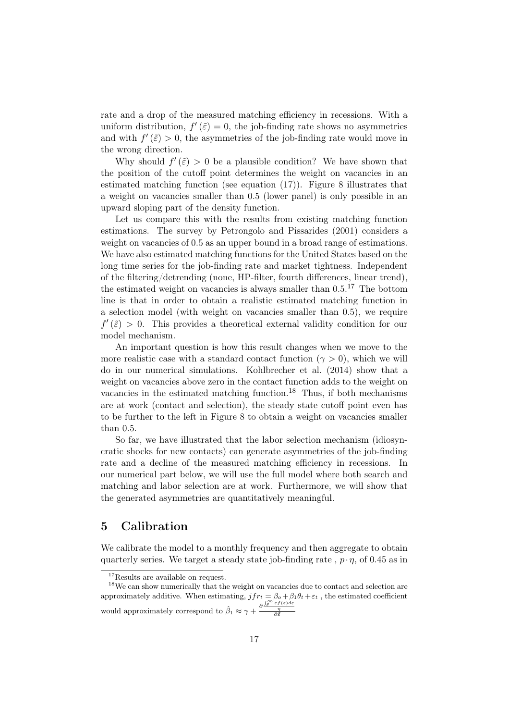rate and a drop of the measured matching efficiency in recessions. With a uniform distribution,  $f'(\tilde{\varepsilon}) = 0$ , the job-finding rate shows no asymmetries and with  $f'(\tilde{\varepsilon}) > 0$ , the asymmetries of the job-finding rate would move in the wrong direction.

Why should  $f'(\tilde{\varepsilon}) > 0$  be a plausible condition? We have shown that the position of the cutoff point determines the weight on vacancies in an estimated matching function (see equation [\(17\)](#page-16-1)). Figure [8](#page-17-0) illustrates that a weight on vacancies smaller than 0.5 (lower panel) is only possible in an upward sloping part of the density function.

Let us compare this with the results from existing matching function estimations. The survey by [Petrongolo and Pissarides](#page-31-1) [\(2001](#page-31-1)) considers a weight on vacancies of  $0.5$  as an upper bound in a broad range of estimations. We have also estimated matching functions for the United States based on the long time series for the job-finding rate and market tightness. Independent of the filtering/detrending (none, HP-filter, fourth differences, linear trend), the estimated weight on vacancies is always smaller than  $0.5$ .<sup>[17](#page-18-1)</sup> The bottom line is that in order to obtain a realistic estimated matching function in a selection model (with weight on vacancies smaller than 0.5), we require  $f'(\tilde{\varepsilon}) > 0$ . This provides a theoretical external validity condition for our model mechanism.

An important question is how this result changes when we move to the more realistic case with a standard contact function ( $\gamma > 0$ ), which we will do in our numerical simulations. [Kohlbrecher et al. \(2014\)](#page-30-2) show that a weight on vacancies above zero in the contact function adds to the weight on vacancies in the estimated matching function.[18](#page-18-2) Thus, if both mechanisms are at work (contact and selection), the steady state cutoff point even has to be further to the left in Figure [8](#page-17-0) to obtain a weight on vacancies smaller than 0.5.

So far, we have illustrated that the labor selection mechanism (idiosyncratic shocks for new contacts) can generate asymmetries of the job-finding rate and a decline of the measured matching efficiency in recessions. In our numerical part below, we will use the full model where both search and matching and labor selection are at work. Furthermore, we will show that the generated asymmetries are quantitatively meaningful.

### <span id="page-18-0"></span>5 Calibration

We calibrate the model to a monthly frequency and then aggregate to obtain quarterly series. We target a steady state job-finding rate ,  $p \cdot \eta$ , of 0.45 as in

<span id="page-18-1"></span><sup>&</sup>lt;sup>17</sup>Results are available on request.

<span id="page-18-2"></span><sup>&</sup>lt;sup>18</sup>We can show numerically that the weight on vacancies due to contact and selection are approximately additive. When estimating,  $jfr_t = \beta_o + \beta_1 \theta_t + \varepsilon_t$ , the estimated coefficient would approximately correspond to  $\hat{\beta}_1 \approx \gamma + \frac{\partial \int_{\tilde{\epsilon}}^{\infty} \tilde{\epsilon} f(\epsilon) d\epsilon}{\partial \tilde{\epsilon}}$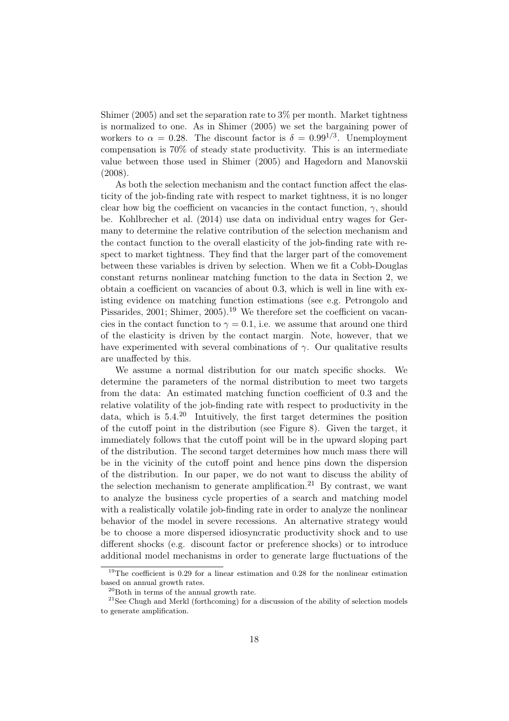[Shimer \(2005](#page-31-5)) and set the separation rate to 3% per month. Market tightness is normalized to one. As in [Shimer \(2005\)](#page-31-5) we set the bargaining power of workers to  $\alpha = 0.28$ . The discount factor is  $\delta = 0.99^{1/3}$ . Unemployment compensation is 70% of steady state productivity. This is an intermediate value between those used in [Shimer \(2005\)](#page-31-5) and [Hagedorn and Manovskii](#page-30-5) [\(2008\)](#page-30-5).

As both the selection mechanism and the contact function affect the elasticity of the job-finding rate with respect to market tightness, it is no longer clear how big the coefficient on vacancies in the contact function,  $\gamma$ , should be. [Kohlbrecher et al. \(2014\)](#page-30-2) use data on individual entry wages for Germany to determine the relative contribution of the selection mechanism and the contact function to the overall elasticity of the job-finding rate with respect to market tightness. They find that the larger part of the comovement between these variables is driven by selection. When we fit a Cobb-Douglas constant returns nonlinear matching function to the data in Section [2,](#page-6-0) we obtain a coefficient on vacancies of about 0.3, which is well in line with existing evi[dence on matching function estimations \(see e.g.](#page-31-1) Petrongolo and Pissarides, [2001;](#page-31-1) [Shimer](#page-31-5), [2005\)](#page-31-5).<sup>[19](#page-19-0)</sup> We therefore set the coefficient on vacancies in the contact function to  $\gamma = 0.1$ , i.e. we assume that around one third of the elasticity is driven by the contact margin. Note, however, that we have experimented with several combinations of  $\gamma$ . Our qualitative results are unaffected by this.

We assume a normal distribution for our match specific shocks. We determine the parameters of the normal distribution to meet two targets from the data: An estimated matching function coefficient of 0.3 and the relative volatility of the job-finding rate with respect to productivity in the data, which is 5.4. [20](#page-19-1) Intuitively, the first target determines the position of the cutoff point in the distribution (see Figure [8\)](#page-17-0). Given the target, it immediately follows that the cutoff point will be in the upward sloping part of the distribution. The second target determines how much mass there will be in the vicinity of the cutoff point and hence pins down the dispersion of the distribution. In our paper, we do not want to discuss the ability of the selection mechanism to generate amplification.<sup>[21](#page-19-2)</sup> By contrast, we want to analyze the business cycle properties of a search and matching model with a realistically volatile job-finding rate in order to analyze the nonlinear behavior of the model in severe recessions. An alternative strategy would be to choose a more dispersed idiosyncratic productivity shock and to use different shocks (e.g. discount factor or preference shocks) or to introduce additional model mechanisms in order to generate large fluctuations of the

<sup>19</sup>The coefficient is 0.29 for a linear estimation and 0.28 for the nonlinear estimation based on annual growth rates.

<span id="page-19-1"></span><span id="page-19-0"></span><sup>20</sup>Both in terms of the annual growth rate.

<span id="page-19-2"></span> $21$ See [Chugh and Merkl \(forthcoming\)](#page-29-7) for a discussion of the ability of selection models to generate amplification.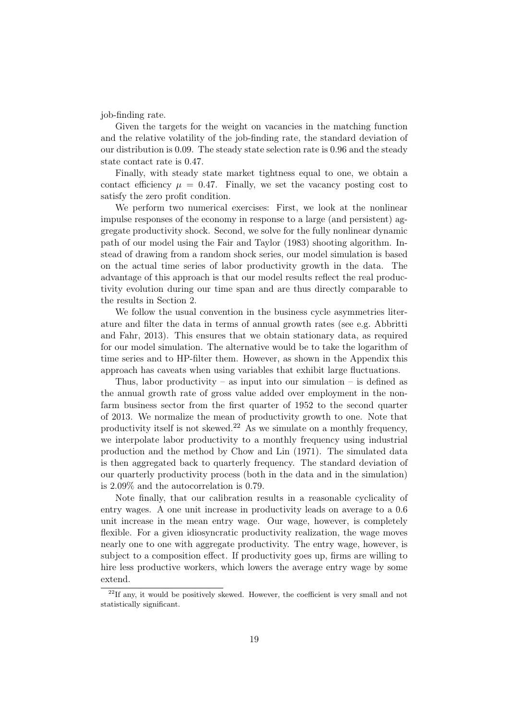job-finding rate.

Given the targets for the weight on vacancies in the matching function and the relative volatility of the job-finding rate, the standard deviation of our distribution is 0.09. The steady state selection rate is 0.96 and the steady state contact rate is 0.47.

Finally, with steady state market tightness equal to one, we obtain a contact efficiency  $\mu = 0.47$ . Finally, we set the vacancy posting cost to satisfy the zero profit condition.

We perform two numerical exercises: First, we look at the nonlinear impulse responses of the economy in response to a large (and persistent) aggregate productivity shock. Second, we solve for the fully nonlinear dynamic path of our model using the [Fair and Taylor \(1983\)](#page-29-9) shooting algorithm. Instead of drawing from a random shock series, our model simulation is based on the actual time series of labor productivity growth in the data. The advantage of this approach is that our model results reflect the real productivity evolution during our time span and are thus directly comparable to the results in Section [2.](#page-6-0)

We follow the usual convention in the business cycle asymmetries literature an[d filter the data in terms of annual growth rates \(see e.g.](#page-29-0) Abbritti and Fahr, [2013](#page-29-0)). This ensures that we obtain stationary data, as required for our model simulation. The alternative would be to take the logarithm of time series and to HP-filter them. However, as shown in the Appendix this approach has caveats when using variables that exhibit large fluctuations.

Thus, labor productivity – as input into our simulation – is defined as the annual growth rate of gross value added over employment in the nonfarm business sector from the first quarter of 1952 to the second quarter of 2013. We normalize the mean of productivity growth to one. Note that productivity itself is not skewed.<sup>[22](#page-20-0)</sup> As we simulate on a monthly frequency, we interpolate labor productivity to a monthly frequency using industrial production and the method by [Chow and Lin \(1971\)](#page-29-10). The simulated data is then aggregated back to quarterly frequency. The standard deviation of our quarterly productivity process (both in the data and in the simulation) is 2.09% and the autocorrelation is 0.79.

Note finally, that our calibration results in a reasonable cyclicality of entry wages. A one unit increase in productivity leads on average to a 0.6 unit increase in the mean entry wage. Our wage, however, is completely flexible. For a given idiosyncratic productivity realization, the wage moves nearly one to one with aggregate productivity. The entry wage, however, is subject to a composition effect. If productivity goes up, firms are willing to hire less productive workers, which lowers the average entry wage by some extend.

<span id="page-20-0"></span> $22$ If any, it would be positively skewed. However, the coefficient is very small and not statistically significant.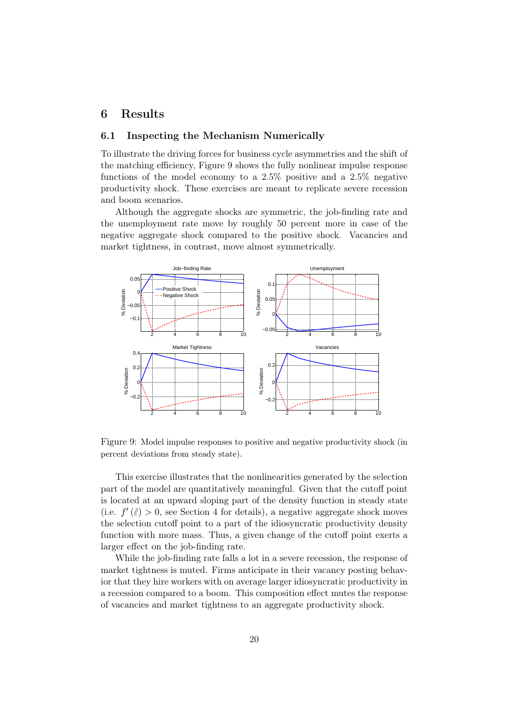## <span id="page-21-0"></span>6 Results

#### 6.1 Inspecting the Mechanism Numerically

To illustrate the driving forces for business cycle asymmetries and the shift of the matching efficiency, Figure [9](#page-21-1) shows the fully nonlinear impulse response functions of the model economy to a  $2.5\%$  positive and a  $2.5\%$  negative productivity shock. These exercises are meant to replicate severe recession and boom scenarios.

Although the aggregate shocks are symmetric, the job-finding rate and the unemployment rate move by roughly 50 percent more in case of the negative aggregate shock compared to the positive shock. Vacancies and market tightness, in contrast, move almost symmetrically.

<span id="page-21-1"></span>

Figure 9: Model impulse responses to positive and negative productivity shock (in percent deviations from steady state).

This exercise illustrates that the nonlinearities generated by the selection part of the model are quantitatively meaningful. Given that the cutoff point is located at an upward sloping part of the density function in steady state (i.e.  $f'(\tilde{\varepsilon}) > 0$ , see Section 4 for details), a negative aggregate shock moves the selection cutoff point to a part of the idiosyncratic productivity density function with more mass. Thus, a given change of the cutoff point exerts a larger effect on the job-finding rate.

While the job-finding rate falls a lot in a severe recession, the response of market tightness is muted. Firms anticipate in their vacancy posting behavior that they hire workers with on average larger idiosyncratic productivity in a recession compared to a boom. This composition effect mutes the response of vacancies and market tightness to an aggregate productivity shock.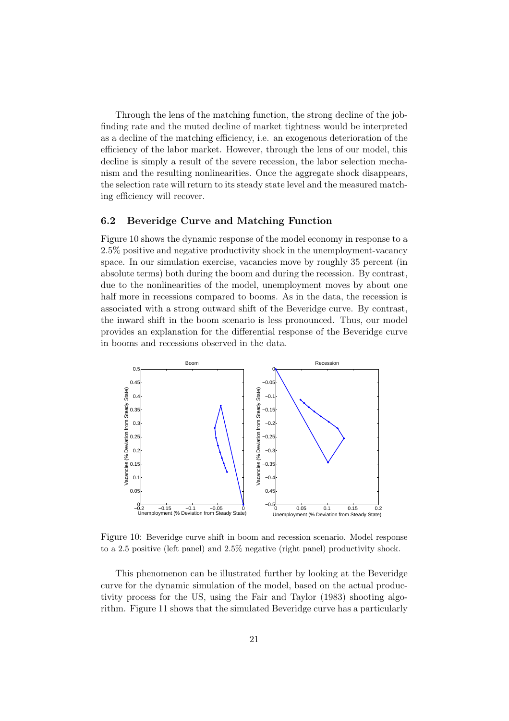Through the lens of the matching function, the strong decline of the jobfinding rate and the muted decline of market tightness would be interpreted as a decline of the matching efficiency, i.e. an exogenous deterioration of the efficiency of the labor market. However, through the lens of our model, this decline is simply a result of the severe recession, the labor selection mechanism and the resulting nonlinearities. Once the aggregate shock disappears, the selection rate will return to its steady state level and the measured matching efficiency will recover.

#### 6.2 Beveridge Curve and Matching Function

Figure [10](#page-22-0) shows the dynamic response of the model economy in response to a 2.5% positive and negative productivity shock in the unemployment-vacancy space. In our simulation exercise, vacancies move by roughly 35 percent (in absolute terms) both during the boom and during the recession. By contrast, due to the nonlinearities of the model, unemployment moves by about one half more in recessions compared to booms. As in the data, the recession is associated with a strong outward shift of the Beveridge curve. By contrast, the inward shift in the boom scenario is less pronounced. Thus, our model provides an explanation for the differential response of the Beveridge curve in booms and recessions observed in the data.

<span id="page-22-0"></span>

Figure 10: Beveridge curve shift in boom and recession scenario. Model response to a 2.5 positive (left panel) and 2.5% negative (right panel) productivity shock.

This phenomenon can be illustrated further by looking at the Beveridge curve for the dynamic simulation of the model, based on the actual productivity process for the US, using the [Fair and Taylor](#page-29-9) [\(1983](#page-29-9)) shooting algorithm. Figure [11](#page-23-0) shows that the simulated Beveridge curve has a particularly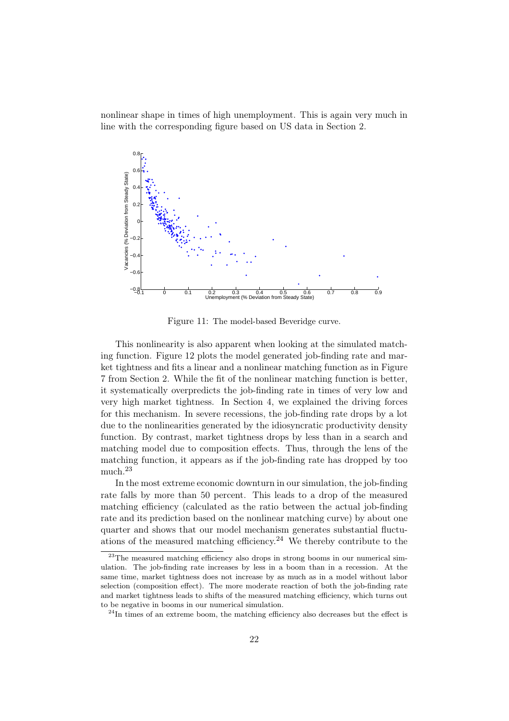<span id="page-23-0"></span>nonlinear shape in times of high unemployment. This is again very much in line with the corresponding figure based on US data in Section 2.



Figure 11: The model-based Beveridge curve.

This nonlinearity is also apparent when looking at the simulated matching function. Figure [12](#page-24-0) plots the model generated job-finding rate and market tightness and fits a linear and a nonlinear matching function as in Figure [7](#page-12-1) from Section [2.](#page-6-0) While the fit of the nonlinear matching function is better, it systematically overpredicts the job-finding rate in times of very low and very high market tightness. In Section 4, we explained the driving forces for this mechanism. In severe recessions, the job-finding rate drops by a lot due to the nonlinearities generated by the idiosyncratic productivity density function. By contrast, market tightness drops by less than in a search and matching model due to composition effects. Thus, through the lens of the matching function, it appears as if the job-finding rate has dropped by too much.[23](#page-23-1)

In the most extreme economic downturn in our simulation, the job-finding rate falls by more than 50 percent. This leads to a drop of the measured matching efficiency (calculated as the ratio between the actual job-finding rate and its prediction based on the nonlinear matching curve) by about one quarter and shows that our model mechanism generates substantial fluctu-ations of the measured matching efficiency.<sup>[24](#page-23-2)</sup> We thereby contribute to the

<span id="page-23-1"></span> $^{23}$ The measured matching efficiency also drops in strong booms in our numerical simulation. The job-finding rate increases by less in a boom than in a recession. At the same time, market tightness does not increase by as much as in a model without labor selection (composition effect). The more moderate reaction of both the job-finding rate and market tightness leads to shifts of the measured matching efficiency, which turns out to be negative in booms in our numerical simulation.

<span id="page-23-2"></span> $24$ In times of an extreme boom, the matching efficiency also decreases but the effect is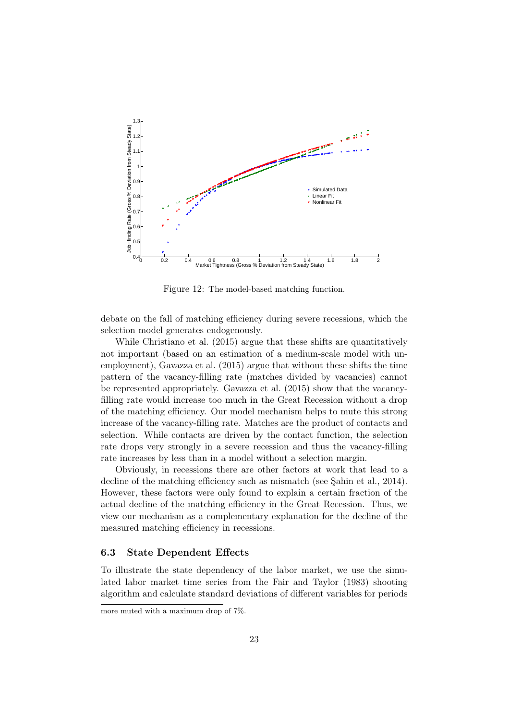<span id="page-24-0"></span>

Figure 12: The model-based matching function.

debate on the fall of matching efficiency during severe recessions, which the selection model generates endogenously.

While [Christiano et al. \(2015\)](#page-29-4) argue that these shifts are quantitatively not important (based on an estimation of a medium-scale model with unemployment), [Gavazza et al. \(2015](#page-29-3)) argue that without these shifts the time pattern of the vacancy-filling rate (matches divided by vacancies) cannot be represented appropriately. [Gavazza et al. \(2015](#page-29-3)) show that the vacancyfilling rate would increase too much in the Great Recession without a drop of the matching efficiency. Our model mechanism helps to mute this strong increase of the vacancy-filling rate. Matches are the product of contacts and selection. While contacts are driven by the contact function, the selection rate drops very strongly in a severe recession and thus the vacancy-filling rate increases by less than in a model without a selection margin.

Obviously, in recessions there are other factors at work that lead to a decline of the matching efficiency such as mismatch (see Sahin et al., 2014). However, these factors were only found to explain a certain fraction of the actual decline of the matching efficiency in the Great Recession. Thus, we view our mechanism as a complementary explanation for the decline of the measured matching efficiency in recessions.

#### 6.3 State Dependent Effects

To illustrate the state dependency of the labor market, we use the simulated labor market time series from the [Fair and Taylor \(1983\)](#page-29-9) shooting algorithm and calculate standard deviations of different variables for periods

more muted with a maximum drop of 7%.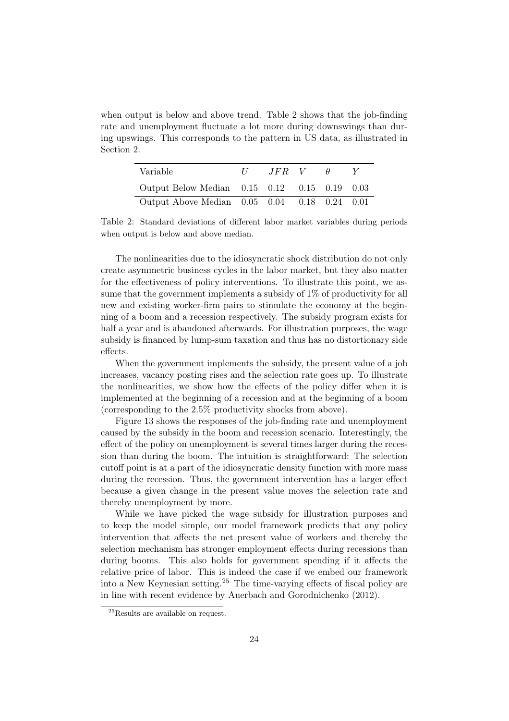when output is below and above trend. Table [2](#page-25-0) shows that the job-finding rate and unemployment fluctuate a lot more during downswings than during upswings. This corresponds to the pattern in US data, as illustrated in Section 2.

<span id="page-25-0"></span>

| Variable                                     | $\frac{1}{2}$ | $JFR$ V |  |  |
|----------------------------------------------|---------------|---------|--|--|
| Output Below Median 0.15 0.12 0.15 0.19 0.03 |               |         |  |  |
| Output Above Median 0.05 0.04 0.18 0.24 0.01 |               |         |  |  |

Table 2: Standard deviations of different labor market variables during periods when output is below and above median.

The nonlinearities due to the idiosyncratic shock distribution do not only create asymmetric business cycles in the labor market, but they also matter for the effectiveness of policy interventions. To illustrate this point, we assume that the government implements a subsidy of 1% of productivity for all new and existing worker-firm pairs to stimulate the economy at the beginning of a boom and a recession respectively. The subsidy program exists for half a year and is abandoned afterwards. For illustration purposes, the wage subsidy is financed by lump-sum taxation and thus has no distortionary side effects.

When the government implements the subsidy, the present value of a job increases, vacancy posting rises and the selection rate goes up. To illustrate the nonlinearities, we show how the effects of the policy differ when it is implemented at the beginning of a recession and at the beginning of a boom (corresponding to the 2.5% productivity shocks from above).

Figure [13](#page-26-1) shows the responses of the job-finding rate and unemployment caused by the subsidy in the boom and recession scenario. Interestingly, the effect of the policy on unemployment is several times larger during the recession than during the boom. The intuition is straightforward: The selection cutoff point is at a part of the idiosyncratic density function with more mass during the recession. Thus, the government intervention has a larger effect because a given change in the present value moves the selection rate and thereby unemployment by more.

While we have picked the wage subsidy for illustration purposes and to keep the model simple, our model framework predicts that any policy intervention that affects the net present value of workers and thereby the selection mechanism has stronger employment effects during recessions than during booms. This also holds for government spending if it affects the relative price of labor. This is indeed the case if we embed our framework into a New Keynesian setting.<sup>[25](#page-25-1)</sup> The time-varying effects of fiscal policy are in line with recent evidence by [Auerbach and Gorodnichenko](#page-29-8) [\(2012](#page-29-8)).

<span id="page-25-1"></span><sup>&</sup>lt;sup>25</sup>Results are available on request.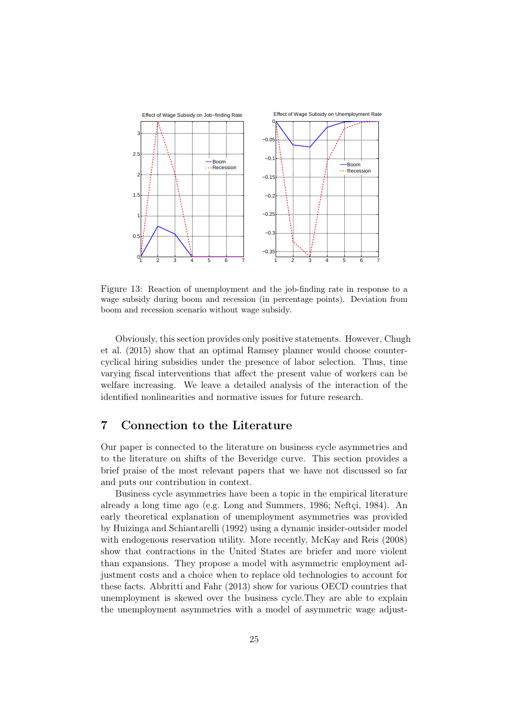<span id="page-26-1"></span>

Figure 13: Reaction of unemployment and the job-finding rate in response to a wage subsidy during boom and recession (in percentage points). Deviation from boom and recession scenario without wage subsidy.

[Obviously, this section provides only positive statements. However,](#page-29-11) Chugh et al. [\(2015\)](#page-29-11) show that an optimal Ramsey planner would choose countercyclical hiring subsidies under the presence of labor selection. Thus, time varying fiscal interventions that affect the present value of workers can be welfare increasing. We leave a detailed analysis of the interaction of the identified nonlinearities and normative issues for future research.

## <span id="page-26-0"></span>7 Connection to the Literature

Our paper is connected to the literature on business cycle asymmetries and to the literature on shifts of the Beveridge curve. This section provides a brief praise of the most relevant papers that we have not discussed so far and puts our contribution in context.

Business cycle asymmetries have been a topic in the empirical literature already a long time ago (e.g. [Long and Summers, 1986;](#page-30-9) [Neftçi](#page-30-10), [1984](#page-30-10)). An early theoretical explanation of unemployment asymmetries was provided by [Huizinga and Schiantarelli \(1992](#page-30-11)) using a dynamic insider-outsider model with endogenous reservation utility. More recently, [McKay and Reis](#page-30-0) [\(2008](#page-30-0)) show that contractions in the United States are briefer and more violent than expansions. They propose a model with asymmetric employment adjustment costs and a choice when to replace old technologies to account for these facts. [Abbritti and Fahr \(2013\)](#page-29-0) show for various OECD countries that unemployment is skewed over the business cycle.They are able to explain the unemployment asymmetries with a model of asymmetric wage adjust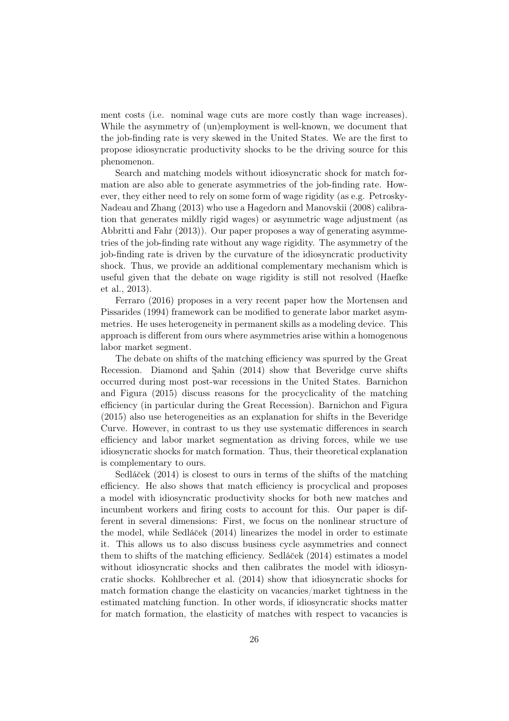ment costs (i.e. nominal wage cuts are more costly than wage increases). While the asymmetry of (un)employment is well-known, we document that the job-finding rate is very skewed in the United States. We are the first to propose idiosyncratic productivity shocks to be the driving source for this phenomenon.

Search and matching models without idiosyncratic shock for match formation are also able to generate asymmetries of the job-finding rate. However, they either n[eed to rely on some form of wage rigidity \(as e.g.](#page-31-2) Petrosky-Nadeau and Zhang [\(2013](#page-31-2)) who use a [Hagedorn and Manovskii \(2008](#page-30-5)) calibration that generates mildly rigid wages) or asymmetric wage adjustment (as [Abbritti and Fahr \(2013](#page-29-0))). Our paper proposes a way of generating asymmetries of the job-finding rate without any wage rigidity. The asymmetry of the job-finding rate is driven by the curvature of the idiosyncratic productivity shock. Thus, we provide an additional complementary mechanism which is usef[ul given that the debate on wage rigidity is still not resolved \(](#page-30-6)Haefke [et al.,](#page-29-5) [2013](#page-30-6)).

Ferrar[o](#page-30-7) [\(2016](#page-29-5)[\) proposes in a very recent paper how the](#page-30-7) Mortensen and Pissarides [\(1994](#page-30-7)) framework can be modified to generate labor market asymmetries. He uses heterogeneity in permanent skills as a modeling device. This approach is different from ours where asymmetries arise within a homogenous labor market segment.

The debate on shifts of the matching efficiency was spurred by the Great Recession. [Diamond and Şahin \(2014\)](#page-29-1) show that Beveridge curve shifts occurred d[uring most post-war recessions in the United States.](#page-29-2) Barnichon and Figura [\(2015](#page-29-2)) discuss reasons for the procyclicality of the matching efficiency (in particular during the Great Recession). [Barnichon and](#page-29-2) Figura [\(2015\)](#page-29-2) also use heterogeneities as an explanation for shifts in the Beveridge Curve. However, in contrast to us they use systematic differences in search efficiency and labor market segmentation as driving forces, while we use idiosyncratic shocks for match formation. Thus, their theoretical explanation [is compleme](#page-31-6)ntary to ours.

Sedláček  $(2014)$  $(2014)$  is closest to ours in terms of the shifts of the matching efficiency. He also shows that match efficiency is procyclical and proposes a model with idiosyncratic productivity shocks for both new matches and incumbent workers and firing costs to account for this. Our paper is different in several dimensions: First, we focus on the nonlinear structure of the model, while [Sedlá˘cek \(2014\)](#page-31-6) linearizes the model in order to estimate it. This allows us to also discuss business cycle asymmetries and connect them to shifts of the matching efficiency. [Sedlá˘cek \(2014](#page-31-6)) estimates a model without idiosyncratic shocks and then calibrates the model with idiosyncratic shocks. [Kohlbrecher et al. \(2014\)](#page-30-2) show that idiosyncratic shocks for match formation change the elasticity on vacancies/market tightness in the estimated matching function. In other words, if idiosyncratic shocks matter for match formation, the elasticity of matches with respect to vacancies is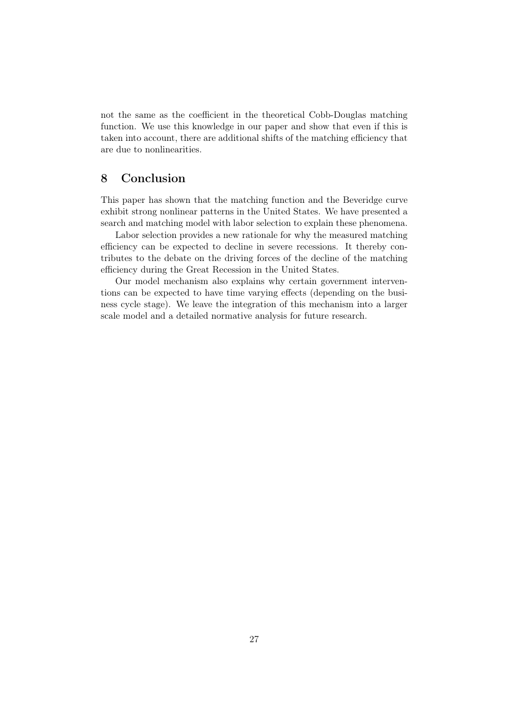not the same as the coefficient in the theoretical Cobb-Douglas matching function. We use this knowledge in our paper and show that even if this is taken into account, there are additional shifts of the matching efficiency that are due to nonlinearities.

## 8 Conclusion

This paper has shown that the matching function and the Beveridge curve exhibit strong nonlinear patterns in the United States. We have presented a search and matching model with labor selection to explain these phenomena.

Labor selection provides a new rationale for why the measured matching efficiency can be expected to decline in severe recessions. It thereby contributes to the debate on the driving forces of the decline of the matching efficiency during the Great Recession in the United States.

Our model mechanism also explains why certain government interventions can be expected to have time varying effects (depending on the business cycle stage). We leave the integration of this mechanism into a larger scale model and a detailed normative analysis for future research.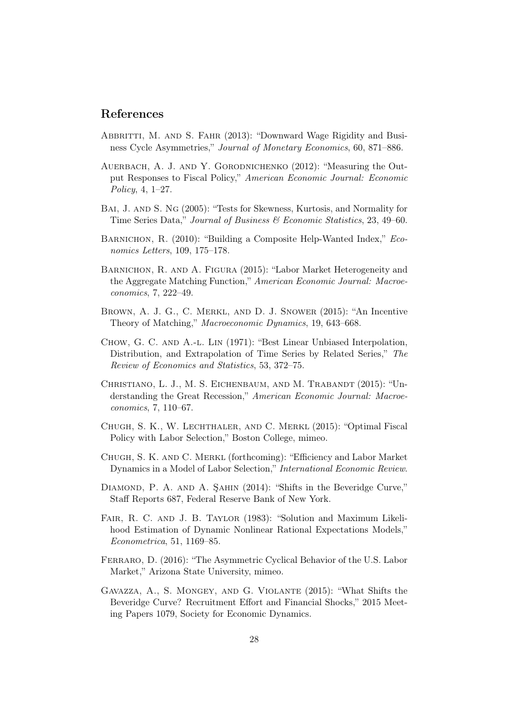### References

- <span id="page-29-0"></span>ABBRITTI, M. AND S. FAHR (2013): "Downward Wage Rigidity and Business Cycle Asymmetries," Journal of Monetary Economics, 60, 871–886.
- <span id="page-29-8"></span>Auerbach, A. J. and Y. Gorodnichenko (2012): "Measuring the Output Responses to Fiscal Policy," American Economic Journal: Economic Policy, 4, 1–27.
- <span id="page-29-13"></span>Bai, J. and S. Ng (2005): "Tests for Skewness, Kurtosis, and Normality for Time Series Data," Journal of Business & Economic Statistics, 23, 49–60.
- <span id="page-29-12"></span>BARNICHON, R. (2010): "Building a Composite Help-Wanted Index," Economics Letters, 109, 175–178.
- <span id="page-29-2"></span>BARNICHON, R. AND A. FIGURA (2015): "Labor Market Heterogeneity and the Aggregate Matching Function," American Economic Journal: Macroeconomics, 7, 222–49.
- <span id="page-29-6"></span>Brown, A. J. G., C. Merkl, and D. J. Snower (2015): "An Incentive Theory of Matching," Macroeconomic Dynamics, 19, 643–668.
- <span id="page-29-10"></span>Chow, G. C. and A.-l. Lin (1971): "Best Linear Unbiased Interpolation, Distribution, and Extrapolation of Time Series by Related Series," The Review of Economics and Statistics, 53, 372–75.
- <span id="page-29-4"></span>Christiano, L. J., M. S. Eichenbaum, and M. Trabandt (2015): "Understanding the Great Recession," American Economic Journal: Macroeconomics, 7, 110–67.
- <span id="page-29-11"></span>Chugh, S. K., W. Lechthaler, and C. Merkl (2015): "Optimal Fiscal Policy with Labor Selection," Boston College, mimeo.
- <span id="page-29-7"></span>Chugh, S. K. and C. Merkl (forthcoming): "Efficiency and Labor Market Dynamics in a Model of Labor Selection," International Economic Review.
- <span id="page-29-1"></span>DIAMOND, P. A. AND A. SAHIN (2014): "Shifts in the Beveridge Curve," Staff Reports 687, Federal Reserve Bank of New York.
- <span id="page-29-9"></span>FAIR, R. C. AND J. B. TAYLOR (1983): "Solution and Maximum Likelihood Estimation of Dynamic Nonlinear Rational Expectations Models," Econometrica, 51, 1169–85.
- <span id="page-29-5"></span>Ferraro, D. (2016): "The Asymmetric Cyclical Behavior of the U.S. Labor Market," Arizona State University, mimeo.
- <span id="page-29-3"></span>Gavazza, A., S. Mongey, and G. Violante (2015): "What Shifts the Beveridge Curve? Recruitment Effort and Financial Shocks," 2015 Meeting Papers 1079, Society for Economic Dynamics.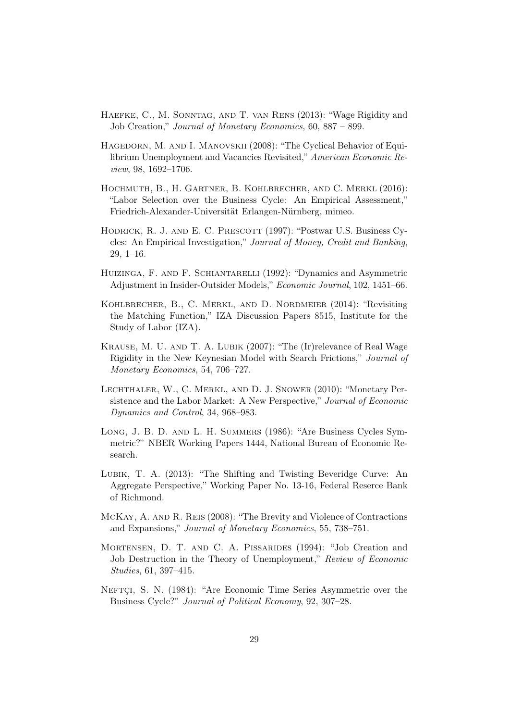- <span id="page-30-6"></span>Haefke, C., M. Sonntag, and T. van Rens (2013): "Wage Rigidity and Job Creation," Journal of Monetary Economics, 60, 887 – 899.
- <span id="page-30-5"></span>Hagedorn, M. and I. Manovskii (2008): "The Cyclical Behavior of Equilibrium Unemployment and Vacancies Revisited," American Economic Review, 98, 1692–1706.
- <span id="page-30-4"></span>Hochmuth, B., H. Gartner, B. Kohlbrecher, and C. Merkl (2016): "Labor Selection over the Business Cycle: An Empirical Assessment," Friedrich-Alexander-Universität Erlangen-Nürnberg, mimeo.
- <span id="page-30-12"></span>HODRICK, R. J. AND E. C. PRESCOTT (1997): "Postwar U.S. Business Cycles: An Empirical Investigation," Journal of Money, Credit and Banking, 29, 1–16.
- <span id="page-30-11"></span>Huizinga, F. and F. Schiantarelli (1992): "Dynamics and Asymmetric Adjustment in Insider-Outsider Models," Economic Journal, 102, 1451–66.
- <span id="page-30-2"></span>Kohlbrecher, B., C. Merkl, and D. Nordmeier (2014): "Revisiting the Matching Function," IZA Discussion Papers 8515, Institute for the Study of Labor (IZA).
- <span id="page-30-8"></span>Krause, M. U. and T. A. Lubik (2007): "The (Ir)relevance of Real Wage Rigidity in the New Keynesian Model with Search Frictions," Journal of Monetary Economics, 54, 706–727.
- <span id="page-30-3"></span>Lechthaler, W., C. Merkl, and D. J. Snower (2010): "Monetary Persistence and the Labor Market: A New Perspective," Journal of Economic Dynamics and Control, 34, 968–983.
- <span id="page-30-9"></span>Long, J. B. D. and L. H. Summers (1986): "Are Business Cycles Symmetric?" NBER Working Papers 1444, National Bureau of Economic Research.
- <span id="page-30-1"></span>Lubik, T. A. (2013): "The Shifting and Twisting Beveridge Curve: An Aggregate Perspective," Working Paper No. 13-16, Federal Reserce Bank of Richmond.
- <span id="page-30-0"></span>McKay, A. and R. Reis (2008): "The Brevity and Violence of Contractions and Expansions," Journal of Monetary Economics, 55, 738–751.
- <span id="page-30-7"></span>MORTENSEN, D. T. AND C. A. PISSARIDES (1994): "Job Creation and Job Destruction in the Theory of Unemployment," Review of Economic Studies, 61, 397–415.
- <span id="page-30-10"></span>NEFTÇI, S. N. (1984): "Are Economic Time Series Asymmetric over the Business Cycle?" Journal of Political Economy, 92, 307–28.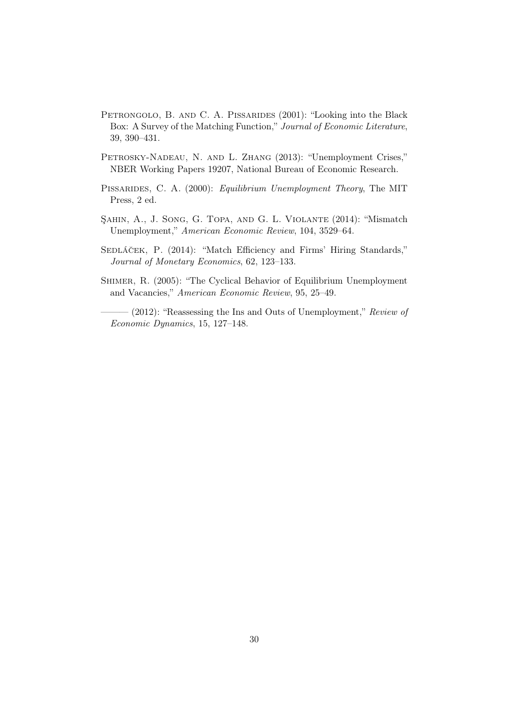- <span id="page-31-1"></span>PETRONGOLO, B. AND C. A. PISSARIDES (2001): "Looking into the Black Box: A Survey of the Matching Function," Journal of Economic Literature, 39, 390–431.
- <span id="page-31-2"></span>PETROSKY-NADEAU, N. AND L. ZHANG (2013): "Unemployment Crises," NBER Working Papers 19207, National Bureau of Economic Research.
- <span id="page-31-0"></span>PISSARIDES, C. A. (2000): Equilibrium Unemployment Theory, The MIT Press, 2 ed.
- <span id="page-31-3"></span>Şahin, A., J. Song, G. Topa, and G. L. Violante (2014): "Mismatch Unemployment," American Economic Review, 104, 3529–64.
- <span id="page-31-6"></span>SEDLÁČEK, P. (2014): "Match Efficiency and Firms' Hiring Standards," Journal of Monetary Economics, 62, 123–133.
- <span id="page-31-5"></span>SHIMER, R. (2005): "The Cyclical Behavior of Equilibrium Unemployment and Vacancies," American Economic Review, 95, 25–49.

<span id="page-31-4"></span> $(2012)$ : "Reassessing the Ins and Outs of Unemployment," Review of Economic Dynamics, 15, 127–148.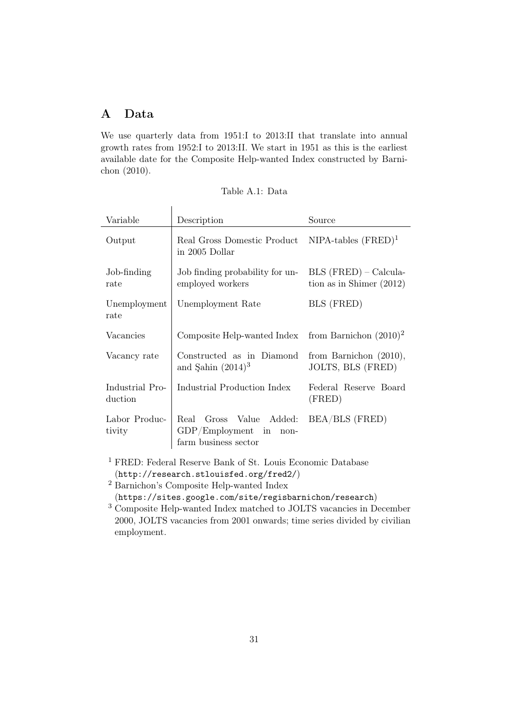## <span id="page-32-0"></span>A Data

We use quarterly data from 1951:I to 2013:II that translate into annual growth rates from 1952:I to 2013:II. We start in 1951 as this is the earliest avail[able date for the Composite Help-wanted Index constructed by](#page-29-12) Barnichon [\(2010](#page-29-12)).

| Table A.1: Data |  |  |
|-----------------|--|--|
|-----------------|--|--|

| Variable                   | Description                                                                    | Source                                                |  |  |
|----------------------------|--------------------------------------------------------------------------------|-------------------------------------------------------|--|--|
| Output                     | Real Gross Domestic Product<br>in 2005 Dollar                                  | $NIPA$ -tables $(FRED)^1$                             |  |  |
| Job-finding<br>rate        | Job finding probability for un-<br>employed workers                            | $BLS$ (FRED) – Calcula-<br>tion as in Shimer $(2012)$ |  |  |
| Unemployment<br>rate       | Unemployment Rate                                                              | BLS (FRED)                                            |  |  |
| Vacancies                  | Composite Help-wanted Index from Barnichon $(2010)^2$                          |                                                       |  |  |
| Vacancy rate               | Constructed as in Diamond<br>and Sahin $(2014)^3$                              | from Barnichon $(2010)$ ,<br>JOLTS, BLS (FRED)        |  |  |
| Industrial Pro-<br>duction | Industrial Production Index                                                    | Federal Reserve Board<br>(FRED)                       |  |  |
| Labor Produc-<br>tivity    | Real<br>Gross Value Added:<br>$GDP/Employment$ in non-<br>farm business sector | BEA/BLS (FRED)                                        |  |  |

<sup>1</sup> FRED: Federal Reserve Bank of St. Louis Economic Database (<http://research.stlouisfed.org/fred2/>)

<sup>2</sup> Barnichon's Composite Help-wanted Index

(<https://sites.google.com/site/regisbarnichon/research>)

<sup>3</sup> Composite Help-wanted Index matched to JOLTS vacancies in December 2000, JOLTS vacancies from 2001 onwards; time series divided by civilian employment.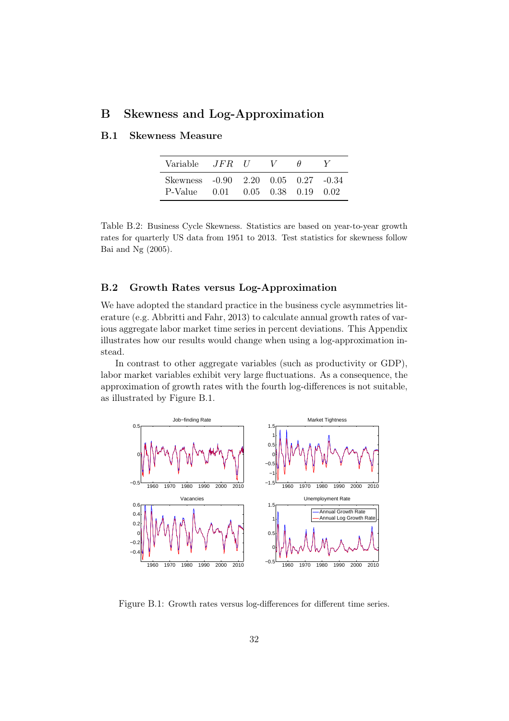## B Skewness and Log-Approximation

| Variable <i>JFR U</i>                          |                                    | $\sqrt{ }$ | H |  |
|------------------------------------------------|------------------------------------|------------|---|--|
| Skewness -0.90 2.20 0.05 0.27 -0.34<br>P-Value | $0.01$ $0.05$ $0.38$ $0.19$ $0.02$ |            |   |  |

## <span id="page-33-0"></span>B.1 Skewness Measure

Table B.2: Business Cycle Skewness. Statistics are based on year-to-year growth rates for quarterly US data from 1951 to 2013. Test statistics for skewness follow [Bai and Ng \(2005\)](#page-29-13).

#### <span id="page-33-1"></span>B.2 Growth Rates versus Log-Approximation

We have adopted the standard practice in the business cycle asymmetries literature (e.g. [Abbritti and Fahr, 2013](#page-29-0)) to calculate annual growth rates of various aggregate labor market time series in percent deviations. This Appendix illustrates how our results would change when using a log-approximation instead.

In contrast to other aggregate variables (such as productivity or GDP), labor market variables exhibit very large fluctuations. As a consequence, the approximation of growth rates with the fourth log-differences is not suitable, as illustrated by Figure [B.1.](#page-33-2)

<span id="page-33-2"></span>

Figure B.1: Growth rates versus log-differences for different time series.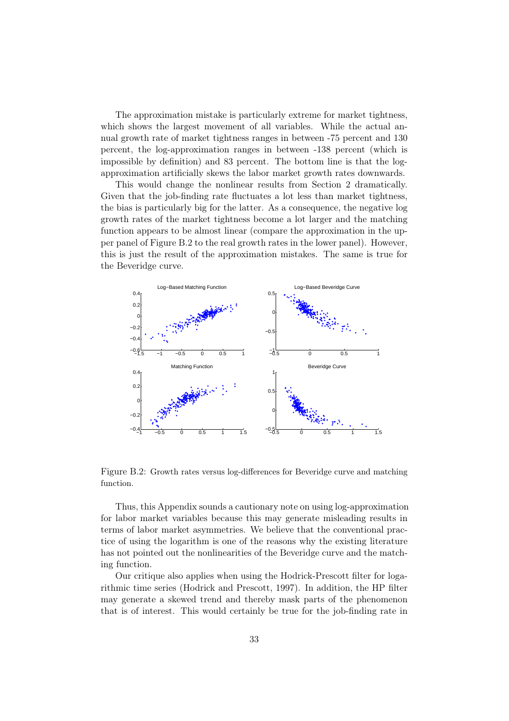The approximation mistake is particularly extreme for market tightness, which shows the largest movement of all variables. While the actual annual growth rate of market tightness ranges in between -75 percent and 130 percent, the log-approximation ranges in between -138 percent (which is impossible by definition) and 83 percent. The bottom line is that the logapproximation artificially skews the labor market growth rates downwards.

This would change the nonlinear results from Section 2 dramatically. Given that the job-finding rate fluctuates a lot less than market tightness, the bias is particularly big for the latter. As a consequence, the negative log growth rates of the market tightness become a lot larger and the matching function appears to be almost linear (compare the approximation in the upper panel of Figure [B.2](#page-34-0) to the real growth rates in the lower panel). However, this is just the result of the approximation mistakes. The same is true for the Beveridge curve.

<span id="page-34-0"></span>

Figure B.2: Growth rates versus log-differences for Beveridge curve and matching function.

Thus, this Appendix sounds a cautionary note on using log-approximation for labor market variables because this may generate misleading results in terms of labor market asymmetries. We believe that the conventional practice of using the logarithm is one of the reasons why the existing literature has not pointed out the nonlinearities of the Beveridge curve and the matching function.

Our critique also applies when using the Hodrick-Prescott filter for logarithmic time series [\(Hodrick and Prescott, 1997](#page-30-12)). In addition, the HP filter may generate a skewed trend and thereby mask parts of the phenomenon that is of interest. This would certainly be true for the job-finding rate in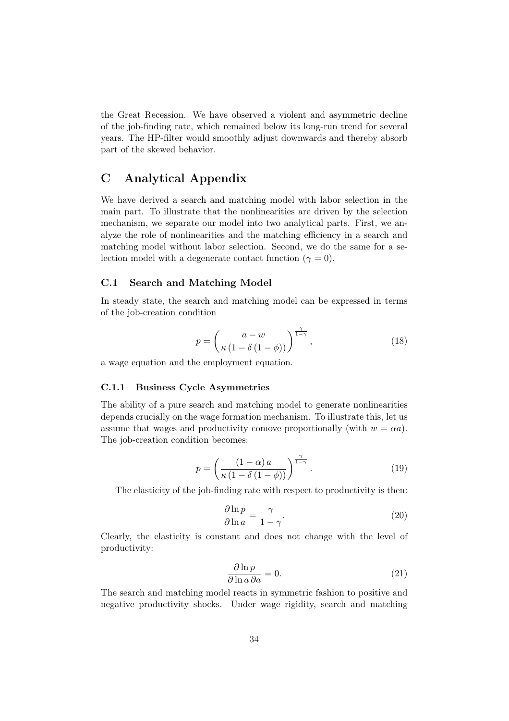the Great Recession. We have observed a violent and asymmetric decline of the job-finding rate, which remained below its long-run trend for several years. The HP-filter would smoothly adjust downwards and thereby absorb part of the skewed behavior.

## C Analytical Appendix

We have derived a search and matching model with labor selection in the main part. To illustrate that the nonlinearities are driven by the selection mechanism, we separate our model into two analytical parts. First, we analyze the role of nonlinearities and the matching efficiency in a search and matching model without labor selection. Second, we do the same for a selection model with a degenerate contact function ( $\gamma = 0$ ).

#### C.1 Search and Matching Model

In steady state, the search and matching model can be expressed in terms of the job-creation condition

$$
p = \left(\frac{a - w}{\kappa \left(1 - \delta \left(1 - \phi\right)\right)}\right)^{\frac{\gamma}{1 - \gamma}},\tag{18}
$$

a wage equation and the employment equation.

#### C.1.1 Business Cycle Asymmetries

The ability of a pure search and matching model to generate nonlinearities depends crucially on the wage formation mechanism. To illustrate this, let us assume that wages and productivity comove proportionally (with  $w = \alpha a$ ). The job-creation condition becomes:

$$
p = \left(\frac{(1-\alpha)a}{\kappa(1-\delta(1-\phi))}\right)^{\frac{\gamma}{1-\gamma}}.\tag{19}
$$

The elasticity of the job-finding rate with respect to productivity is then:

$$
\frac{\partial \ln p}{\partial \ln a} = \frac{\gamma}{1 - \gamma}.\tag{20}
$$

Clearly, the elasticity is constant and does not change with the level of productivity:

$$
\frac{\partial \ln p}{\partial \ln a \, \partial a} = 0. \tag{21}
$$

The search and matching model reacts in symmetric fashion to positive and negative productivity shocks. Under wage rigidity, search and matching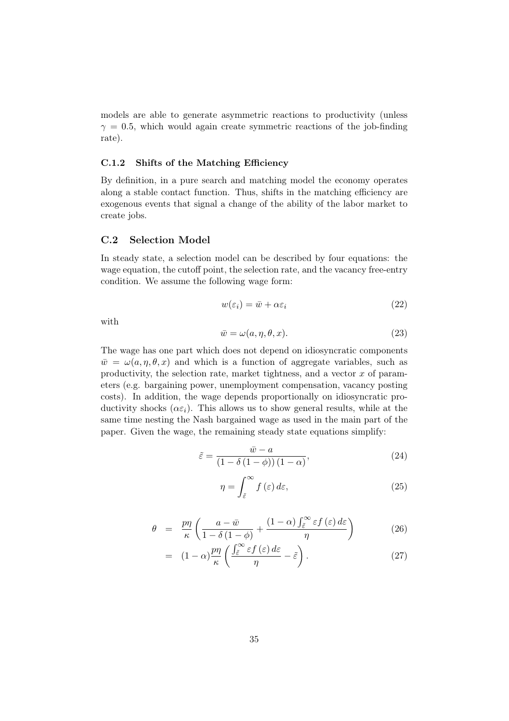models are able to generate asymmetric reactions to productivity (unless  $\gamma = 0.5$ , which would again create symmetric reactions of the job-finding rate).

#### C.1.2 Shifts of the Matching Efficiency

By definition, in a pure search and matching model the economy operates along a stable contact function. Thus, shifts in the matching efficiency are exogenous events that signal a change of the ability of the labor market to create jobs.

#### C.2 Selection Model

In steady state, a selection model can be described by four equations: the wage equation, the cutoff point, the selection rate, and the vacancy free-entry condition. We assume the following wage form:

$$
w(\varepsilon_i) = \bar{w} + \alpha \varepsilon_i \tag{22}
$$

with

$$
\bar{w} = \omega(a, \eta, \theta, x). \tag{23}
$$

The wage has one part which does not depend on idiosyncratic components  $\bar{w} = \omega(a, \eta, \theta, x)$  and which is a function of aggregate variables, such as productivity, the selection rate, market tightness, and a vector  $x$  of parameters (e.g. bargaining power, unemployment compensation, vacancy posting costs). In addition, the wage depends proportionally on idiosyncratic productivity shocks  $(\alpha \varepsilon_i)$ . This allows us to show general results, while at the same time nesting the Nash bargained wage as used in the main part of the paper. Given the wage, the remaining steady state equations simplify:

$$
\tilde{\varepsilon} = \frac{\bar{w} - a}{\left(1 - \delta\left(1 - \phi\right)\right)\left(1 - \alpha\right)},\tag{24}
$$

$$
\eta = \int_{\tilde{\varepsilon}}^{\infty} f(\varepsilon) d\varepsilon, \tag{25}
$$

$$
\theta = \frac{p\eta}{\kappa} \left( \frac{a - \bar{w}}{1 - \delta \left( 1 - \phi \right)} + \frac{(1 - \alpha) \int_{\tilde{\varepsilon}}^{\infty} \varepsilon f(\varepsilon) d\varepsilon}{\eta} \right) \tag{26}
$$

$$
= (1 - \alpha) \frac{p\eta}{\kappa} \left( \frac{\int_{\tilde{\varepsilon}}^{\infty} \varepsilon f(\varepsilon) d\varepsilon}{\eta} - \tilde{\varepsilon} \right).
$$
 (27)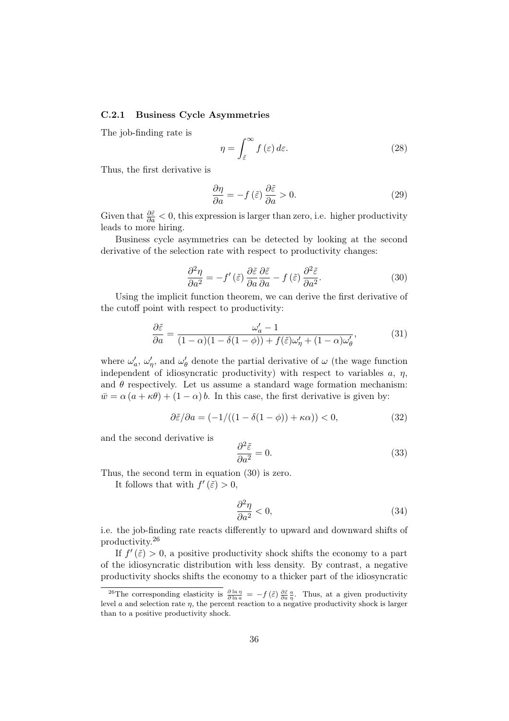#### <span id="page-37-0"></span>C.2.1 Business Cycle Asymmetries

The job-finding rate is

$$
\eta = \int_{\tilde{\varepsilon}}^{\infty} f(\varepsilon) d\varepsilon. \tag{28}
$$

Thus, the first derivative is

$$
\frac{\partial \eta}{\partial a} = -f(\tilde{\varepsilon}) \frac{\partial \tilde{\varepsilon}}{\partial a} > 0.
$$
 (29)

Given that  $\frac{\partial \tilde{\varepsilon}}{\partial a} < 0$ , this expression is larger than zero, i.e. higher productivity leads to more hiring.

Business cycle asymmetries can be detected by looking at the second derivative of the selection rate with respect to productivity changes:

<span id="page-37-1"></span>
$$
\frac{\partial^2 \eta}{\partial a^2} = -f'(\tilde{\varepsilon}) \frac{\partial \tilde{\varepsilon}}{\partial a} \frac{\partial \tilde{\varepsilon}}{\partial a} - f(\tilde{\varepsilon}) \frac{\partial^2 \tilde{\varepsilon}}{\partial a^2}.
$$
 (30)

Using the implicit function theorem, we can derive the first derivative of the cutoff point with respect to productivity:

$$
\frac{\partial \tilde{\varepsilon}}{\partial a} = \frac{\omega_a' - 1}{(1 - \alpha)(1 - \delta(1 - \phi)) + f(\tilde{\varepsilon})\omega_{\eta}' + (1 - \alpha)\omega_{\theta}'},\tag{31}
$$

where  $\omega'_c$  $a'$ ,  $\omega'_n$  $\zeta'_\eta$ , and  $\omega'_\theta$  $\theta_{\theta}$  denote the partial derivative of  $\omega$  (the wage function independent of idiosyncratic productivity) with respect to variables  $a, \eta$ , and  $\theta$  respectively. Let us assume a standard wage formation mechanism:  $\bar{w} = \alpha (a + \kappa \theta) + (1 - \alpha) b$ . In this case, the first derivative is given by:

$$
\partial \tilde{\varepsilon}/\partial a = (-1/((1 - \delta(1 - \phi)) + \kappa \alpha)) < 0,\tag{32}
$$

and the second derivative is

$$
\frac{\partial^2 \tilde{\varepsilon}}{\partial a^2} = 0.
$$
\n(33)

Thus, the second term in equation [\(30\)](#page-37-1) is zero.

It follows that with  $f'(\tilde{\varepsilon}) > 0$ ,

$$
\frac{\partial^2 \eta}{\partial a^2} < 0,\tag{34}
$$

i.e. the job-finding rate reacts differently to upward and downward shifts of productivity.[26](#page-37-2)

If  $f'(\tilde{\varepsilon}) > 0$ , a positive productivity shock shifts the economy to a part of the idiosyncratic distribution with less density. By contrast, a negative productivity shocks shifts the economy to a thicker part of the idiosyncratic

<span id="page-37-2"></span><sup>&</sup>lt;sup>26</sup>The corresponding elasticity is  $\frac{\partial \ln \eta}{\partial \ln a} = -f(\tilde{\varepsilon}) \frac{\partial \tilde{\varepsilon}}{\partial a} \frac{a}{\eta}$ . Thus, at a given productivity level a and selection rate  $\eta$ , the percent reaction to a negative productivity shock is larger than to a positive productivity shock.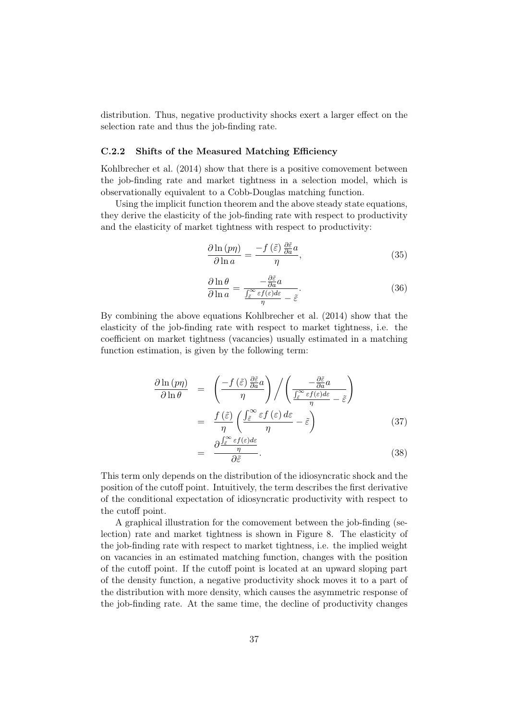distribution. Thus, negative productivity shocks exert a larger effect on the selection rate and thus the job-finding rate.

#### <span id="page-38-0"></span>C.2.2 Shifts of the Measured Matching Efficiency

Kohlbrecher et al. [\(2014\)](#page-30-2) show that there is a positive comovement between the job-finding rate and market tightness in a selection model, which is observationally equivalent to a Cobb-Douglas matching function.

Using the implicit function theorem and the above steady state equations, they derive the elasticity of the job-finding rate with respect to productivity and the elasticity of market tightness with respect to productivity:

$$
\frac{\partial \ln\left(p\eta\right)}{\partial \ln a} = \frac{-f\left(\tilde{\varepsilon}\right)\frac{\partial \tilde{\varepsilon}}{\partial a}a}{\eta},\tag{35}
$$

$$
\frac{\partial \ln \theta}{\partial \ln a} = \frac{-\frac{\partial \tilde{\varepsilon}}{\partial a} a}{\frac{\int_{\tilde{\varepsilon}}^{\infty} \varepsilon f(\varepsilon) d\varepsilon}{\eta} - \tilde{\varepsilon}}.
$$
\n(36)

By combining the above equations [Kohlbrecher et al. \(2014](#page-30-2)) show that the elasticity of the job-finding rate with respect to market tightness, i.e. the coefficient on market tightness (vacancies) usually estimated in a matching function estimation, is given by the following term:

$$
\frac{\partial \ln(p\eta)}{\partial \ln \theta} = \left(\frac{-f(\tilde{\varepsilon})\frac{\partial \tilde{\varepsilon}}{\partial a}a}{\eta}\right) / \left(\frac{-\frac{\partial \tilde{\varepsilon}}{\partial a}a}{\int_{\tilde{\varepsilon}}^{\infty} \varepsilon f(\varepsilon)d\varepsilon} - \tilde{\varepsilon}\right)
$$

$$
= \frac{f(\tilde{\varepsilon})}{\eta} \left(\frac{\int_{\tilde{\varepsilon}}^{\infty} \varepsilon f(\varepsilon)d\varepsilon}{\eta} - \tilde{\varepsilon}\right) \tag{37}
$$

$$
= \frac{\partial \frac{J\bar{\varepsilon} - \varepsilon_J(\varepsilon)ac}{\eta}}{\partial \tilde{\varepsilon}}.
$$
\n(38)

This term only depends on the distribution of the idiosyncratic shock and the position of the cutoff point. Intuitively, the term describes the first derivative of the conditional expectation of idiosyncratic productivity with respect to the cutoff point.

A graphical illustration for the comovement between the job-finding (selection) rate and market tightness is shown in Figure [8.](#page-17-0) The elasticity of the job-finding rate with respect to market tightness, i.e. the implied weight on vacancies in an estimated matching function, changes with the position of the cutoff point. If the cutoff point is located at an upward sloping part of the density function, a negative productivity shock moves it to a part of the distribution with more density, which causes the asymmetric response of the job-finding rate. At the same time, the decline of productivity changes